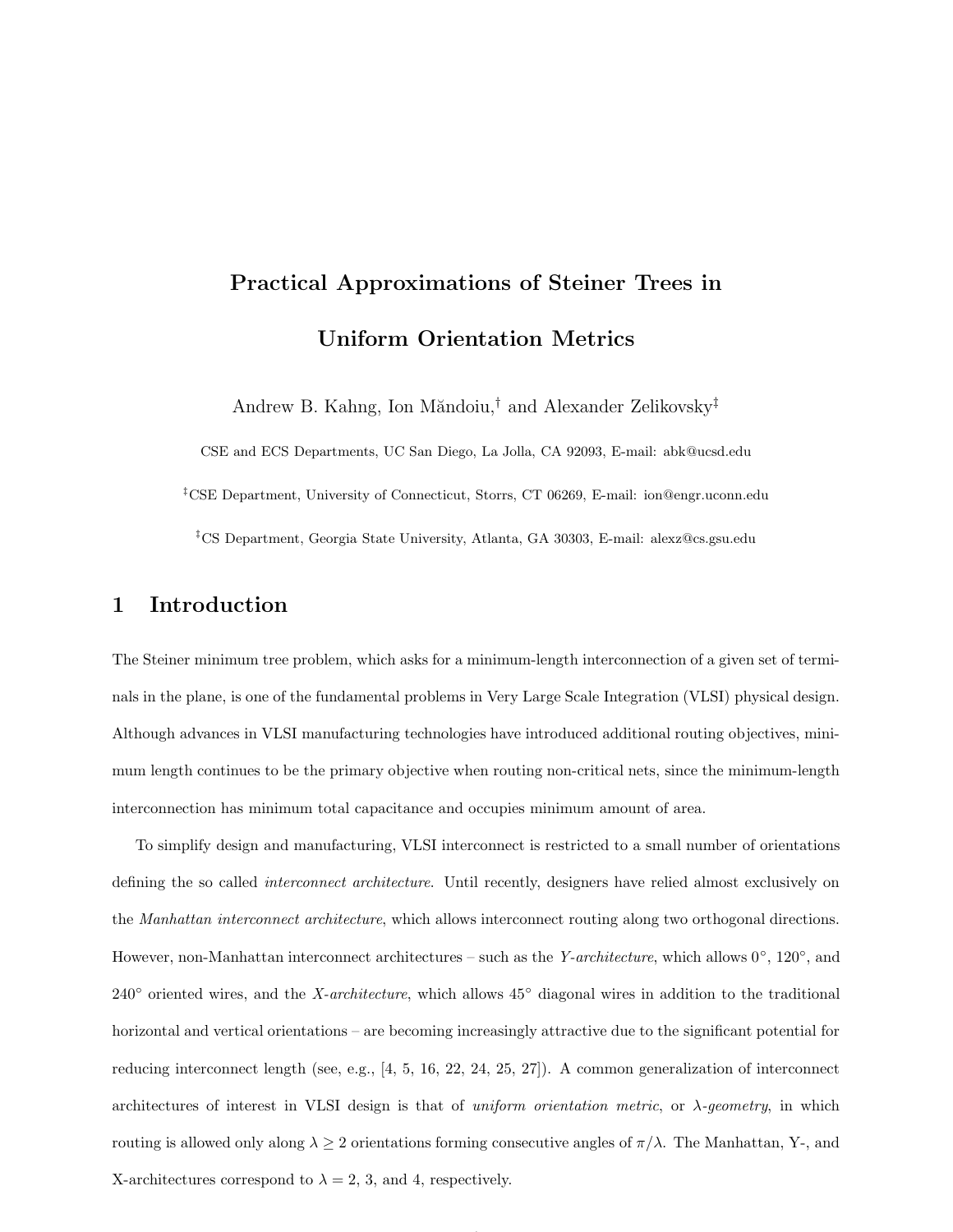# Practical Approximations of Steiner Trees in Uniform Orientation Metrics

Andrew B. Kahng, Ion Măndoiu,<sup>†</sup> and Alexander Zelikovsky<sup>‡</sup>

CSE and ECS Departments, UC San Diego, La Jolla, CA 92093, E-mail: abk@ucsd.edu ‡CSE Department, University of Connecticut, Storrs, CT 06269, E-mail: ion@engr.uconn.edu ‡CS Department, Georgia State University, Atlanta, GA 30303, E-mail: alexz@cs.gsu.edu

## 1 Introduction

The Steiner minimum tree problem, which asks for a minimum-length interconnection of a given set of terminals in the plane, is one of the fundamental problems in Very Large Scale Integration (VLSI) physical design. Although advances in VLSI manufacturing technologies have introduced additional routing objectives, minimum length continues to be the primary objective when routing non-critical nets, since the minimum-length interconnection has minimum total capacitance and occupies minimum amount of area.

To simplify design and manufacturing, VLSI interconnect is restricted to a small number of orientations defining the so called interconnect architecture. Until recently, designers have relied almost exclusively on the Manhattan interconnect architecture, which allows interconnect routing along two orthogonal directions. However, non-Manhattan interconnect architectures – such as the *Y-architecture*, which allows  $0^{\circ}$ ,  $120^{\circ}$ , and 240◦ oriented wires, and the X-architecture, which allows 45◦ diagonal wires in addition to the traditional horizontal and vertical orientations – are becoming increasingly attractive due to the significant potential for reducing interconnect length (see, e.g., [4, 5, 16, 22, 24, 25, 27]). A common generalization of interconnect architectures of interest in VLSI design is that of uniform orientation metric, or  $\lambda$ -geometry, in which routing is allowed only along  $\lambda \geq 2$  orientations forming consecutive angles of  $\pi/\lambda$ . The Manhattan, Y-, and X-architectures correspond to  $\lambda = 2, 3$ , and 4, respectively.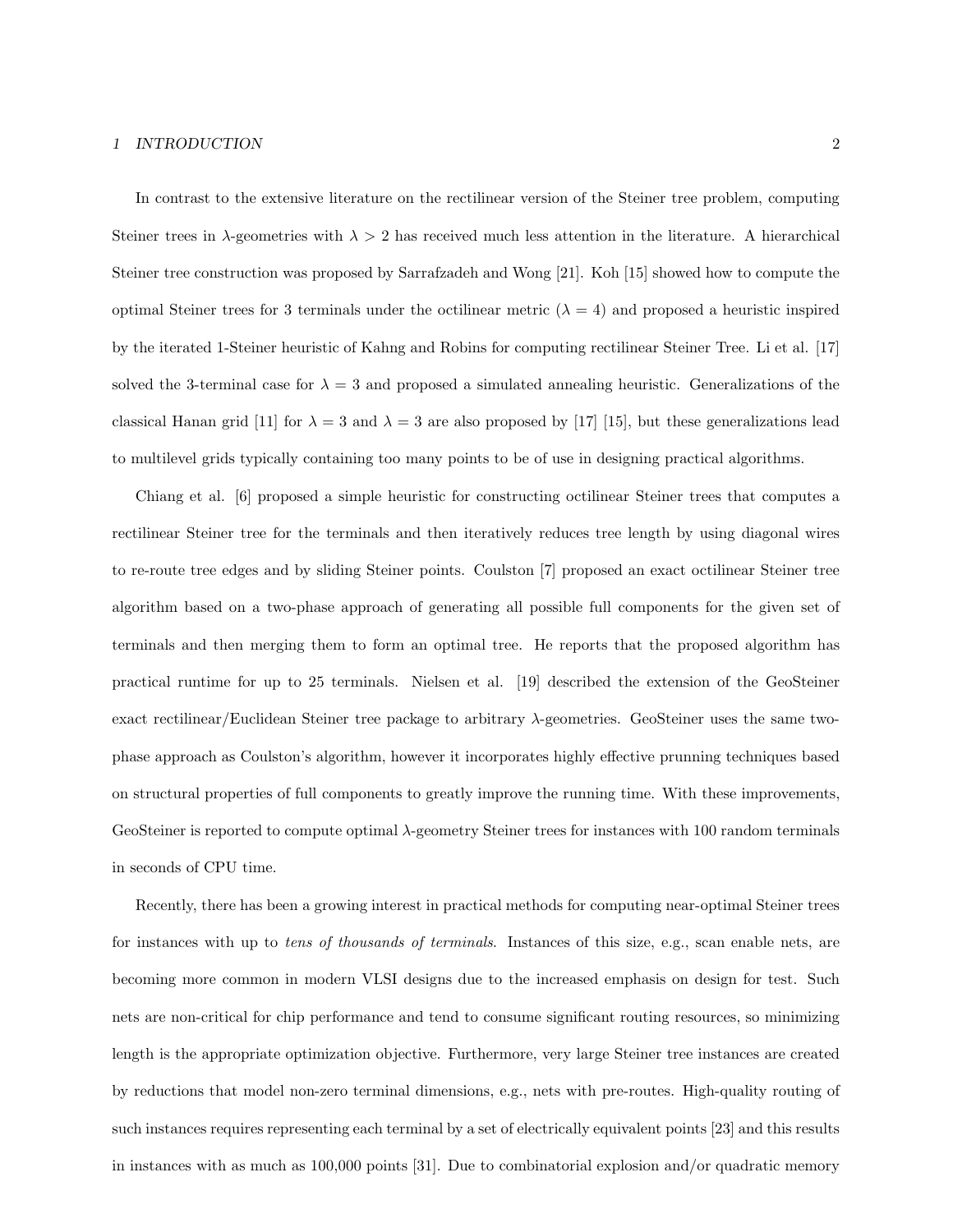#### 1 INTRODUCTION 2

In contrast to the extensive literature on the rectilinear version of the Steiner tree problem, computing Steiner trees in  $\lambda$ -geometries with  $\lambda > 2$  has received much less attention in the literature. A hierarchical Steiner tree construction was proposed by Sarrafzadeh and Wong [21]. Koh [15] showed how to compute the optimal Steiner trees for 3 terminals under the octilinear metric  $(\lambda = 4)$  and proposed a heuristic inspired by the iterated 1-Steiner heuristic of Kahng and Robins for computing rectilinear Steiner Tree. Li et al. [17] solved the 3-terminal case for  $\lambda = 3$  and proposed a simulated annealing heuristic. Generalizations of the classical Hanan grid [11] for  $\lambda = 3$  and  $\lambda = 3$  are also proposed by [17] [15], but these generalizations lead to multilevel grids typically containing too many points to be of use in designing practical algorithms.

Chiang et al. [6] proposed a simple heuristic for constructing octilinear Steiner trees that computes a rectilinear Steiner tree for the terminals and then iteratively reduces tree length by using diagonal wires to re-route tree edges and by sliding Steiner points. Coulston [7] proposed an exact octilinear Steiner tree algorithm based on a two-phase approach of generating all possible full components for the given set of terminals and then merging them to form an optimal tree. He reports that the proposed algorithm has practical runtime for up to 25 terminals. Nielsen et al. [19] described the extension of the GeoSteiner exact rectilinear/Euclidean Steiner tree package to arbitrary  $\lambda$ -geometries. GeoSteiner uses the same twophase approach as Coulston's algorithm, however it incorporates highly effective prunning techniques based on structural properties of full components to greatly improve the running time. With these improvements, GeoSteiner is reported to compute optimal  $\lambda$ -geometry Steiner trees for instances with 100 random terminals in seconds of CPU time.

Recently, there has been a growing interest in practical methods for computing near-optimal Steiner trees for instances with up to tens of thousands of terminals. Instances of this size, e.g., scan enable nets, are becoming more common in modern VLSI designs due to the increased emphasis on design for test. Such nets are non-critical for chip performance and tend to consume significant routing resources, so minimizing length is the appropriate optimization objective. Furthermore, very large Steiner tree instances are created by reductions that model non-zero terminal dimensions, e.g., nets with pre-routes. High-quality routing of such instances requires representing each terminal by a set of electrically equivalent points [23] and this results in instances with as much as 100,000 points [31]. Due to combinatorial explosion and/or quadratic memory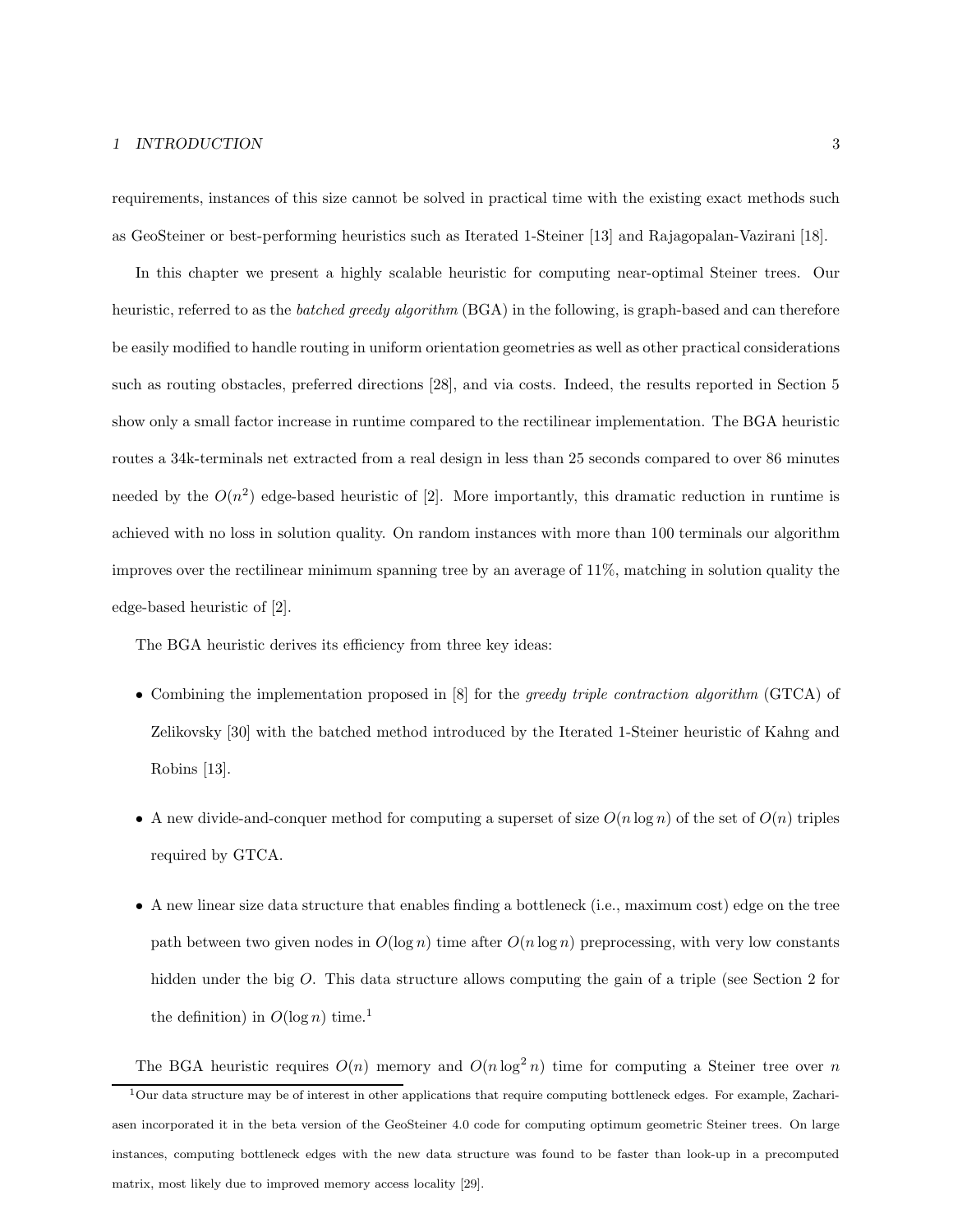#### 1 INTRODUCTION 3

requirements, instances of this size cannot be solved in practical time with the existing exact methods such as GeoSteiner or best-performing heuristics such as Iterated 1-Steiner [13] and Rajagopalan-Vazirani [18].

In this chapter we present a highly scalable heuristic for computing near-optimal Steiner trees. Our heuristic, referred to as the *batched greedy algorithm* (BGA) in the following, is graph-based and can therefore be easily modified to handle routing in uniform orientation geometries as well as other practical considerations such as routing obstacles, preferred directions [28], and via costs. Indeed, the results reported in Section 5 show only a small factor increase in runtime compared to the rectilinear implementation. The BGA heuristic routes a 34k-terminals net extracted from a real design in less than 25 seconds compared to over 86 minutes needed by the  $O(n^2)$  edge-based heuristic of [2]. More importantly, this dramatic reduction in runtime is achieved with no loss in solution quality. On random instances with more than 100 terminals our algorithm improves over the rectilinear minimum spanning tree by an average of 11%, matching in solution quality the edge-based heuristic of [2].

The BGA heuristic derives its efficiency from three key ideas:

- Combining the implementation proposed in [8] for the greedy triple contraction algorithm (GTCA) of Zelikovsky [30] with the batched method introduced by the Iterated 1-Steiner heuristic of Kahng and Robins [13].
- A new divide-and-conquer method for computing a superset of size  $O(n \log n)$  of the set of  $O(n)$  triples required by GTCA.
- A new linear size data structure that enables finding a bottleneck (i.e., maximum cost) edge on the tree path between two given nodes in  $O(\log n)$  time after  $O(n \log n)$  preprocessing, with very low constants hidden under the big O. This data structure allows computing the gain of a triple (see Section 2 for the definition) in  $O(\log n)$  time.<sup>1</sup>

The BGA heuristic requires  $O(n)$  memory and  $O(n \log^2 n)$  time for computing a Steiner tree over n <sup>1</sup>Our data structure may be of interest in other applications that require computing bottleneck edges. For example, Zachariasen incorporated it in the beta version of the GeoSteiner 4.0 code for computing optimum geometric Steiner trees. On large instances, computing bottleneck edges with the new data structure was found to be faster than look-up in a precomputed matrix, most likely due to improved memory access locality [29].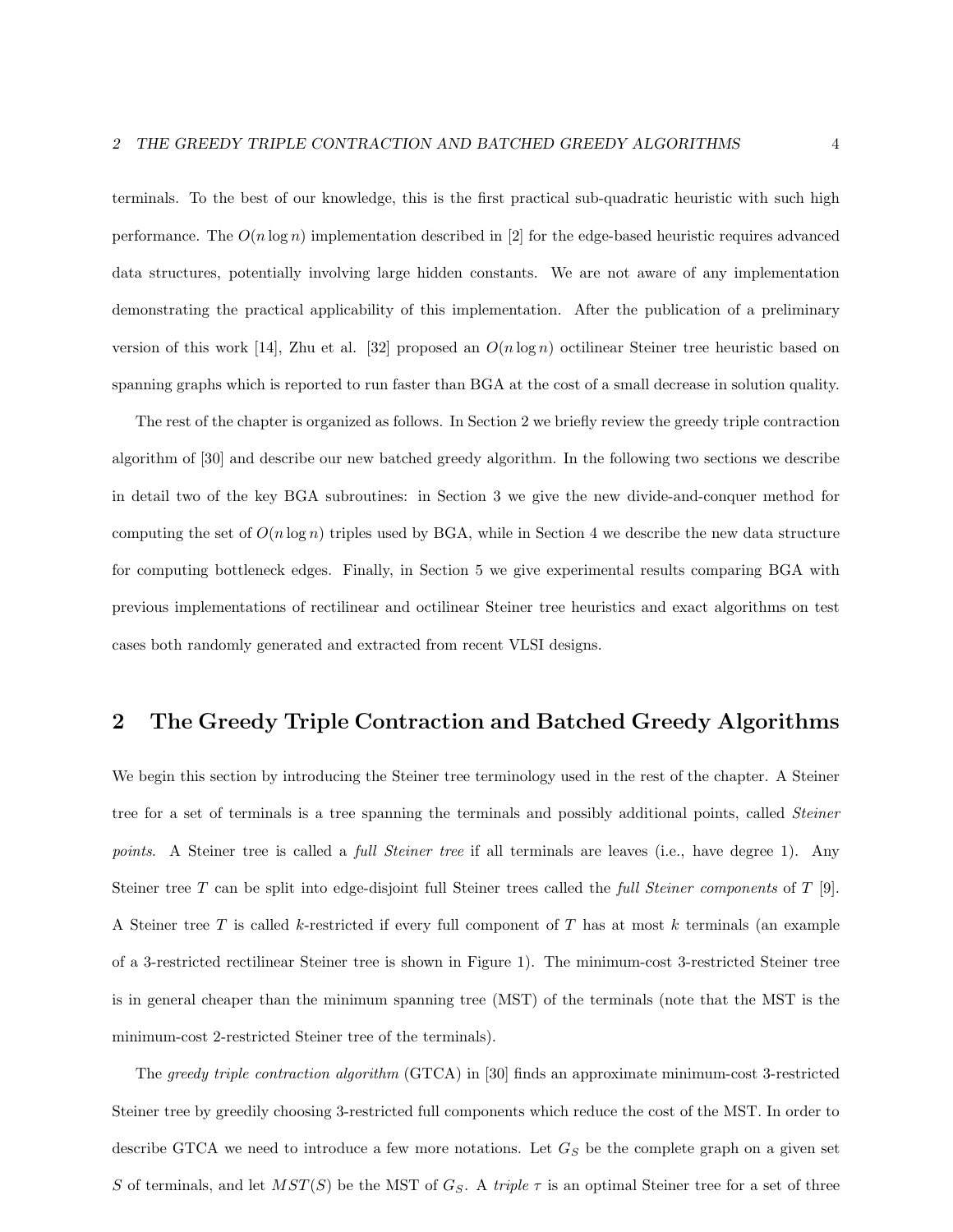terminals. To the best of our knowledge, this is the first practical sub-quadratic heuristic with such high performance. The  $O(n \log n)$  implementation described in [2] for the edge-based heuristic requires advanced data structures, potentially involving large hidden constants. We are not aware of any implementation demonstrating the practical applicability of this implementation. After the publication of a preliminary version of this work [14], Zhu et al. [32] proposed an  $O(n \log n)$  octilinear Steiner tree heuristic based on spanning graphs which is reported to run faster than BGA at the cost of a small decrease in solution quality.

The rest of the chapter is organized as follows. In Section 2 we briefly review the greedy triple contraction algorithm of [30] and describe our new batched greedy algorithm. In the following two sections we describe in detail two of the key BGA subroutines: in Section 3 we give the new divide-and-conquer method for computing the set of  $O(n \log n)$  triples used by BGA, while in Section 4 we describe the new data structure for computing bottleneck edges. Finally, in Section 5 we give experimental results comparing BGA with previous implementations of rectilinear and octilinear Steiner tree heuristics and exact algorithms on test cases both randomly generated and extracted from recent VLSI designs.

# 2 The Greedy Triple Contraction and Batched Greedy Algorithms

We begin this section by introducing the Steiner tree terminology used in the rest of the chapter. A Steiner tree for a set of terminals is a tree spanning the terminals and possibly additional points, called *Steiner* points. A Steiner tree is called a *full Steiner tree* if all terminals are leaves (i.e., have degree 1). Any Steiner tree T can be split into edge-disjoint full Steiner trees called the *full Steiner components* of T [9]. A Steiner tree T is called k-restricted if every full component of T has at most k terminals (an example of a 3-restricted rectilinear Steiner tree is shown in Figure 1). The minimum-cost 3-restricted Steiner tree is in general cheaper than the minimum spanning tree (MST) of the terminals (note that the MST is the minimum-cost 2-restricted Steiner tree of the terminals).

The greedy triple contraction algorithm (GTCA) in [30] finds an approximate minimum-cost 3-restricted Steiner tree by greedily choosing 3-restricted full components which reduce the cost of the MST. In order to describe GTCA we need to introduce a few more notations. Let  $G<sub>S</sub>$  be the complete graph on a given set S of terminals, and let  $MST(S)$  be the MST of  $G<sub>S</sub>$ . A triple  $\tau$  is an optimal Steiner tree for a set of three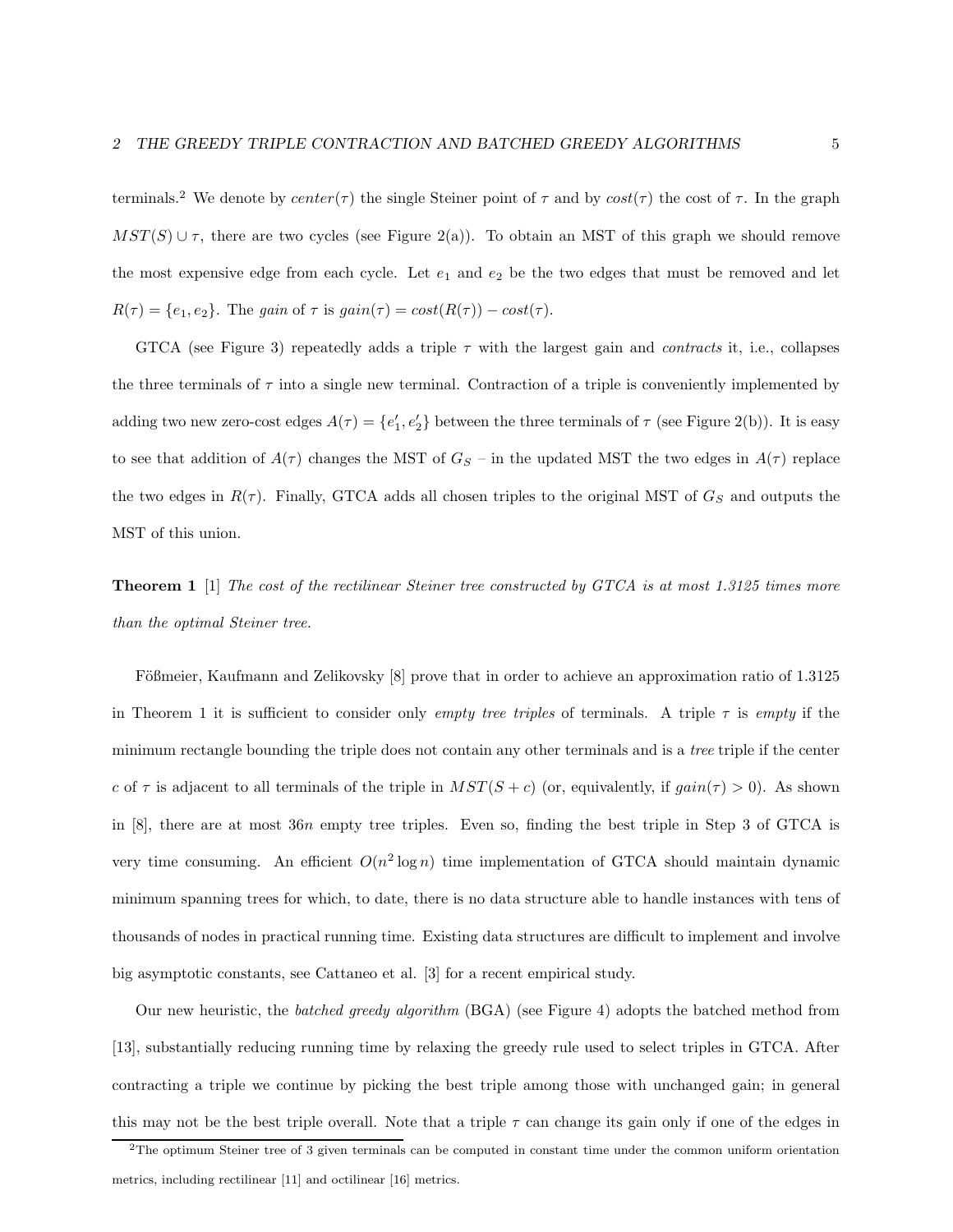terminals.<sup>2</sup> We denote by center(τ) the single Steiner point of τ and by  $cost(\tau)$  the cost of τ. In the graph  $MST(S) \cup \tau$ , there are two cycles (see Figure 2(a)). To obtain an MST of this graph we should remove the most expensive edge from each cycle. Let  $e_1$  and  $e_2$  be the two edges that must be removed and let  $R(\tau) = \{e_1, e_2\}.$  The gain of  $\tau$  is  $gain(\tau) = cost(R(\tau)) - cost(\tau).$ 

GTCA (see Figure 3) repeatedly adds a triple  $\tau$  with the largest gain and *contracts* it, i.e., collapses the three terminals of  $\tau$  into a single new terminal. Contraction of a triple is conveniently implemented by adding two new zero-cost edges  $A(\tau) = \{e'_1, e'_2\}$  between the three terminals of  $\tau$  (see Figure 2(b)). It is easy to see that addition of  $A(\tau)$  changes the MST of  $G_S$  – in the updated MST the two edges in  $A(\tau)$  replace the two edges in  $R(\tau)$ . Finally, GTCA adds all chosen triples to the original MST of  $G_S$  and outputs the MST of this union.

**Theorem 1** [1] The cost of the rectilinear Steiner tree constructed by GTCA is at most 1.3125 times more than the optimal Steiner tree.

Fößmeier, Kaufmann and Zelikovsky [8] prove that in order to achieve an approximation ratio of 1.3125 in Theorem 1 it is sufficient to consider only empty tree triples of terminals. A triple  $\tau$  is empty if the minimum rectangle bounding the triple does not contain any other terminals and is a tree triple if the center c of  $\tau$  is adjacent to all terminals of the triple in  $MST(S + c)$  (or, equivalently, if  $gain(\tau) > 0$ ). As shown in [8], there are at most 36n empty tree triples. Even so, finding the best triple in Step 3 of GTCA is very time consuming. An efficient  $O(n^2 \log n)$  time implementation of GTCA should maintain dynamic minimum spanning trees for which, to date, there is no data structure able to handle instances with tens of thousands of nodes in practical running time. Existing data structures are difficult to implement and involve big asymptotic constants, see Cattaneo et al. [3] for a recent empirical study.

Our new heuristic, the *batched greedy algorithm* (BGA) (see Figure 4) adopts the batched method from [13], substantially reducing running time by relaxing the greedy rule used to select triples in GTCA. After contracting a triple we continue by picking the best triple among those with unchanged gain; in general this may not be the best triple overall. Note that a triple  $\tau$  can change its gain only if one of the edges in

<sup>2</sup>The optimum Steiner tree of 3 given terminals can be computed in constant time under the common uniform orientation metrics, including rectilinear [11] and octilinear [16] metrics.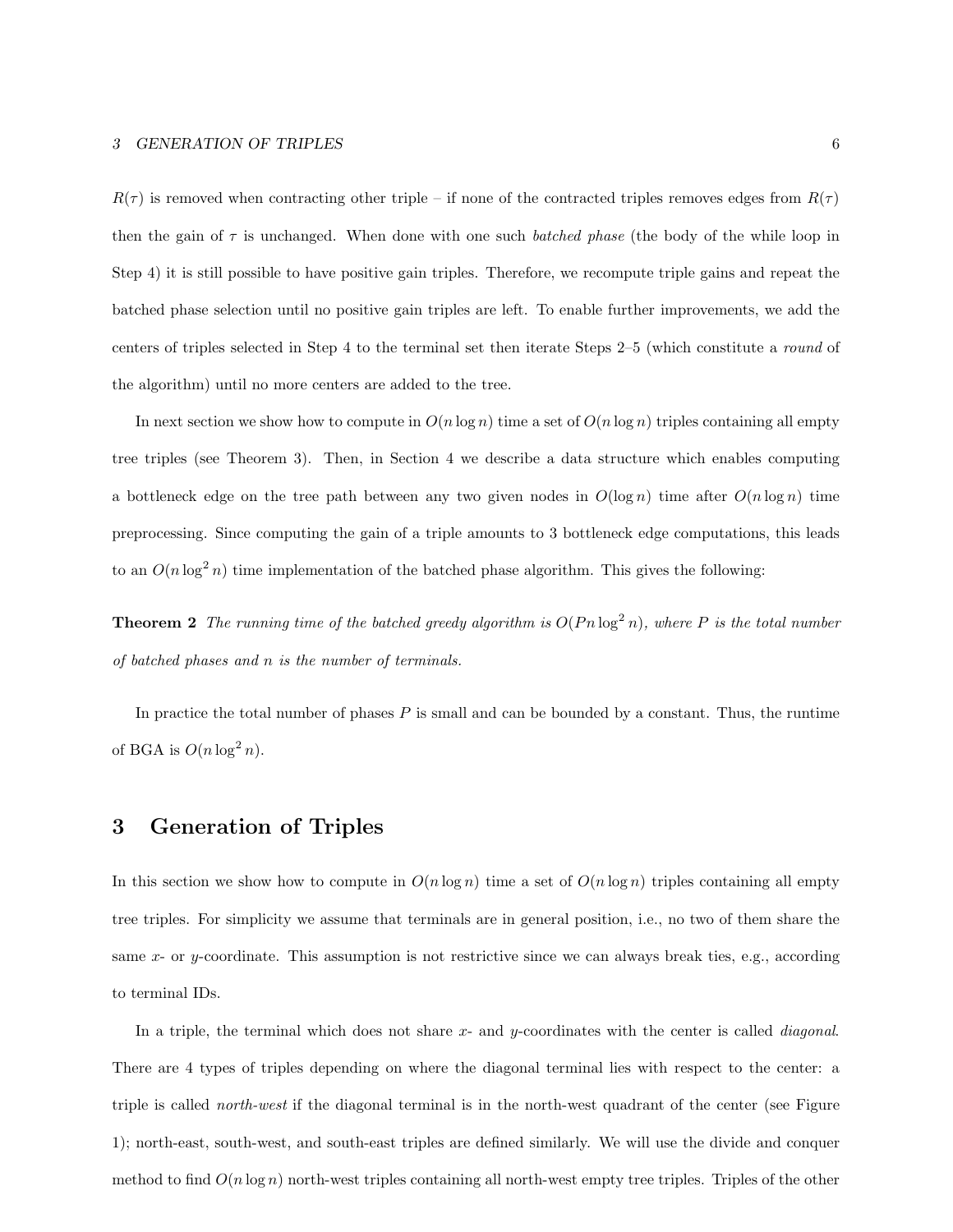$R(\tau)$  is removed when contracting other triple – if none of the contracted triples removes edges from  $R(\tau)$ then the gain of  $\tau$  is unchanged. When done with one such *batched phase* (the body of the while loop in Step 4) it is still possible to have positive gain triples. Therefore, we recompute triple gains and repeat the batched phase selection until no positive gain triples are left. To enable further improvements, we add the centers of triples selected in Step 4 to the terminal set then iterate Steps 2–5 (which constitute a round of the algorithm) until no more centers are added to the tree.

In next section we show how to compute in  $O(n \log n)$  time a set of  $O(n \log n)$  triples containing all empty tree triples (see Theorem 3). Then, in Section 4 we describe a data structure which enables computing a bottleneck edge on the tree path between any two given nodes in  $O(\log n)$  time after  $O(n \log n)$  time preprocessing. Since computing the gain of a triple amounts to 3 bottleneck edge computations, this leads to an  $O(n \log^2 n)$  time implementation of the batched phase algorithm. This gives the following:

**Theorem 2** The running time of the batched greedy algorithm is  $O(Pn \log^2 n)$ , where P is the total number of batched phases and n is the number of terminals.

In practice the total number of phases  $P$  is small and can be bounded by a constant. Thus, the runtime of BGA is  $O(n \log^2 n)$ .

#### 3 Generation of Triples

In this section we show how to compute in  $O(n \log n)$  time a set of  $O(n \log n)$  triples containing all empty tree triples. For simplicity we assume that terminals are in general position, i.e., no two of them share the same x- or y-coordinate. This assumption is not restrictive since we can always break ties, e.g., according to terminal IDs.

In a triple, the terminal which does not share  $x$ - and y-coordinates with the center is called *diagonal*. There are 4 types of triples depending on where the diagonal terminal lies with respect to the center: a triple is called north-west if the diagonal terminal is in the north-west quadrant of the center (see Figure 1); north-east, south-west, and south-east triples are defined similarly. We will use the divide and conquer method to find  $O(n \log n)$  north-west triples containing all north-west empty tree triples. Triples of the other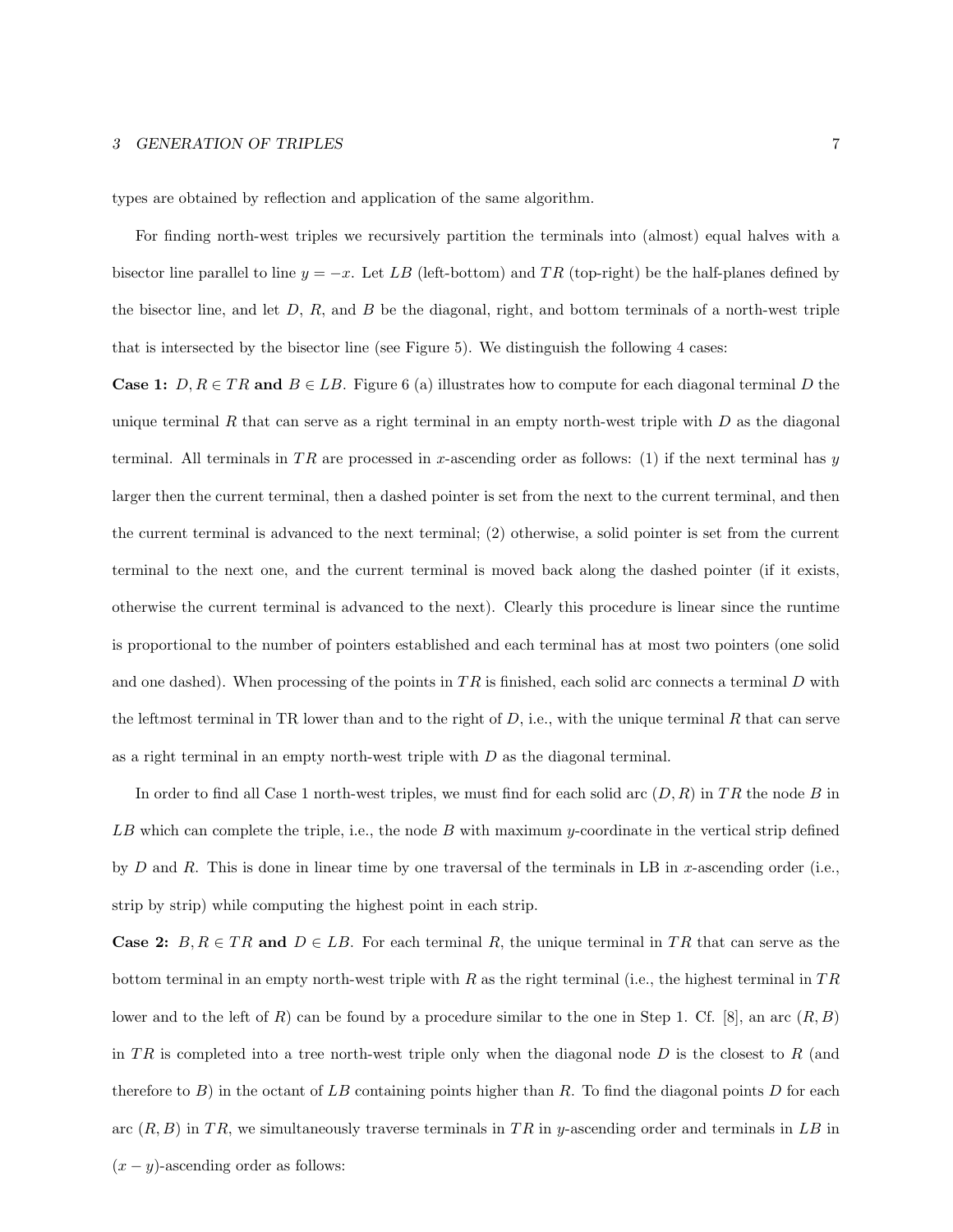#### 3 GENERATION OF TRIPLES 7

types are obtained by reflection and application of the same algorithm.

For finding north-west triples we recursively partition the terminals into (almost) equal halves with a bisector line parallel to line  $y = -x$ . Let LB (left-bottom) and TR (top-right) be the half-planes defined by the bisector line, and let  $D$ ,  $R$ , and  $B$  be the diagonal, right, and bottom terminals of a north-west triple that is intersected by the bisector line (see Figure 5). We distinguish the following 4 cases:

**Case 1:**  $D, R \in TR$  and  $B \in LB$ . Figure 6 (a) illustrates how to compute for each diagonal terminal D the unique terminal R that can serve as a right terminal in an empty north-west triple with  $D$  as the diagonal terminal. All terminals in TR are processed in x-ascending order as follows: (1) if the next terminal has y larger then the current terminal, then a dashed pointer is set from the next to the current terminal, and then the current terminal is advanced to the next terminal; (2) otherwise, a solid pointer is set from the current terminal to the next one, and the current terminal is moved back along the dashed pointer (if it exists, otherwise the current terminal is advanced to the next). Clearly this procedure is linear since the runtime is proportional to the number of pointers established and each terminal has at most two pointers (one solid and one dashed). When processing of the points in  $TR$  is finished, each solid arc connects a terminal  $D$  with the leftmost terminal in TR lower than and to the right of  $D$ , i.e., with the unique terminal R that can serve as a right terminal in an empty north-west triple with  $D$  as the diagonal terminal.

In order to find all Case 1 north-west triples, we must find for each solid arc  $(D, R)$  in TR the node B in LB which can complete the triple, i.e., the node  $B$  with maximum y-coordinate in the vertical strip defined by D and R. This is done in linear time by one traversal of the terminals in LB in x-ascending order (i.e., strip by strip) while computing the highest point in each strip.

**Case 2:**  $B, R \in TR$  and  $D \in LB$ . For each terminal R, the unique terminal in TR that can serve as the bottom terminal in an empty north-west triple with R as the right terminal (i.e., the highest terminal in  $TR$ lower and to the left of R) can be found by a procedure similar to the one in Step 1. Cf. [8], an arc  $(R, B)$ in TR is completed into a tree north-west triple only when the diagonal node  $D$  is the closest to  $R$  (and therefore to B) in the octant of LB containing points higher than R. To find the diagonal points D for each arc  $(R, B)$  in TR, we simultaneously traverse terminals in TR in y-ascending order and terminals in LB in  $(x - y)$ -ascending order as follows: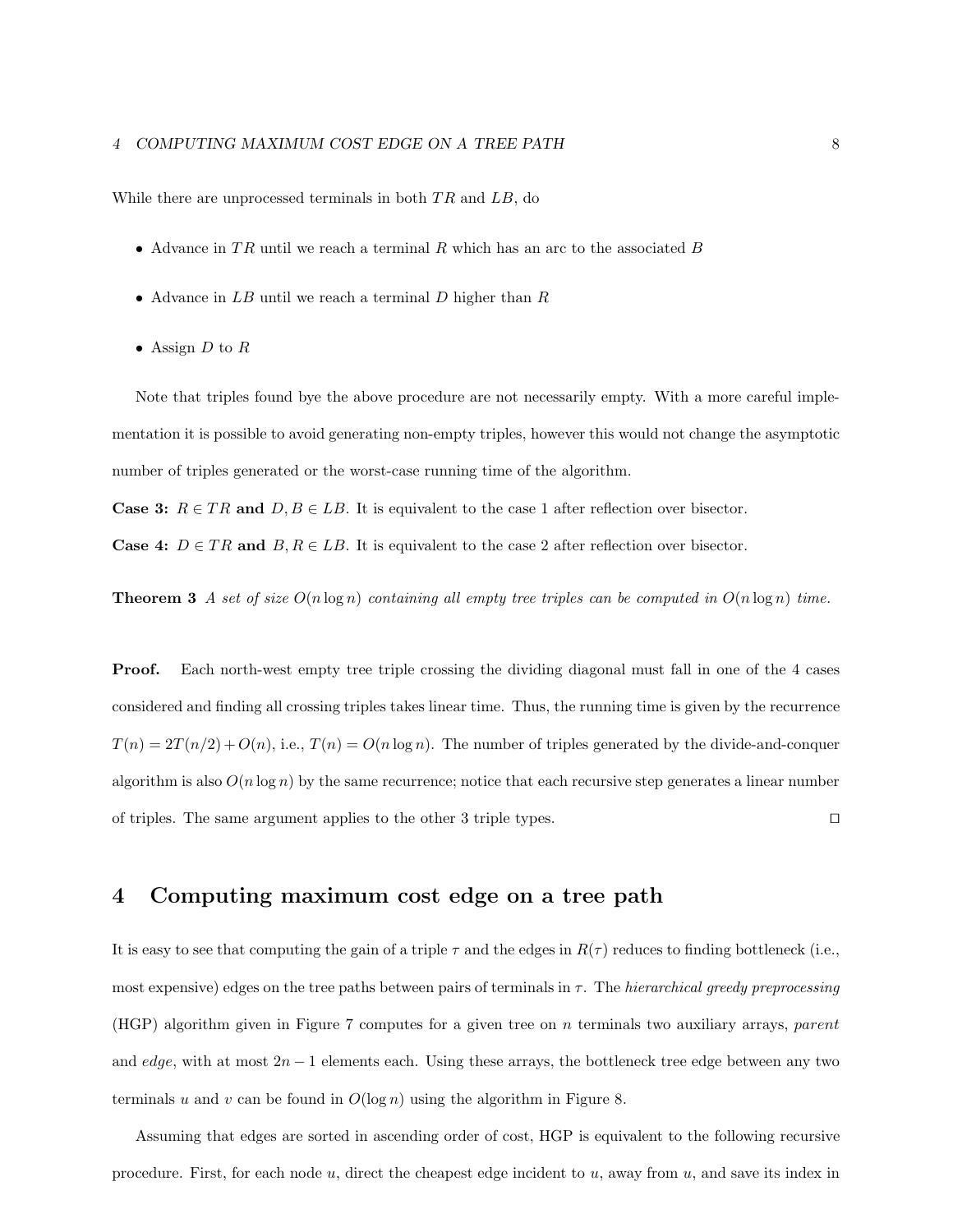While there are unprocessed terminals in both TR and LB, do

- Advance in  $TR$  until we reach a terminal  $R$  which has an arc to the associated  $B$
- Advance in  $LB$  until we reach a terminal  $D$  higher than  $R$
- $\bullet\,$  Assign  $D$  to  $R$

Note that triples found bye the above procedure are not necessarily empty. With a more careful implementation it is possible to avoid generating non-empty triples, however this would not change the asymptotic number of triples generated or the worst-case running time of the algorithm.

**Case 3:**  $R \in TR$  and  $D, B \in LB$ . It is equivalent to the case 1 after reflection over bisector.

**Case 4:**  $D \in TR$  and  $B, R \in LB$ . It is equivalent to the case 2 after reflection over bisector.

**Theorem 3** A set of size  $O(n \log n)$  containing all empty tree triples can be computed in  $O(n \log n)$  time.

Proof. Each north-west empty tree triple crossing the dividing diagonal must fall in one of the 4 cases considered and finding all crossing triples takes linear time. Thus, the running time is given by the recurrence  $T(n) = 2T(n/2) + O(n)$ , i.e.,  $T(n) = O(n \log n)$ . The number of triples generated by the divide-and-conquer algorithm is also  $O(n \log n)$  by the same recurrence; notice that each recursive step generates a linear number of triples. The same argument applies to the other 3 triple types.  $\Box$ 

#### 4 Computing maximum cost edge on a tree path

It is easy to see that computing the gain of a triple  $\tau$  and the edges in  $R(\tau)$  reduces to finding bottleneck (i.e., most expensive) edges on the tree paths between pairs of terminals in  $\tau$ . The hierarchical greedy preprocessing (HGP) algorithm given in Figure 7 computes for a given tree on  $n$  terminals two auxiliary arrays, parent and edge, with at most  $2n - 1$  elements each. Using these arrays, the bottleneck tree edge between any two terminals u and v can be found in  $O(\log n)$  using the algorithm in Figure 8.

Assuming that edges are sorted in ascending order of cost, HGP is equivalent to the following recursive procedure. First, for each node  $u$ , direct the cheapest edge incident to  $u$ , away from  $u$ , and save its index in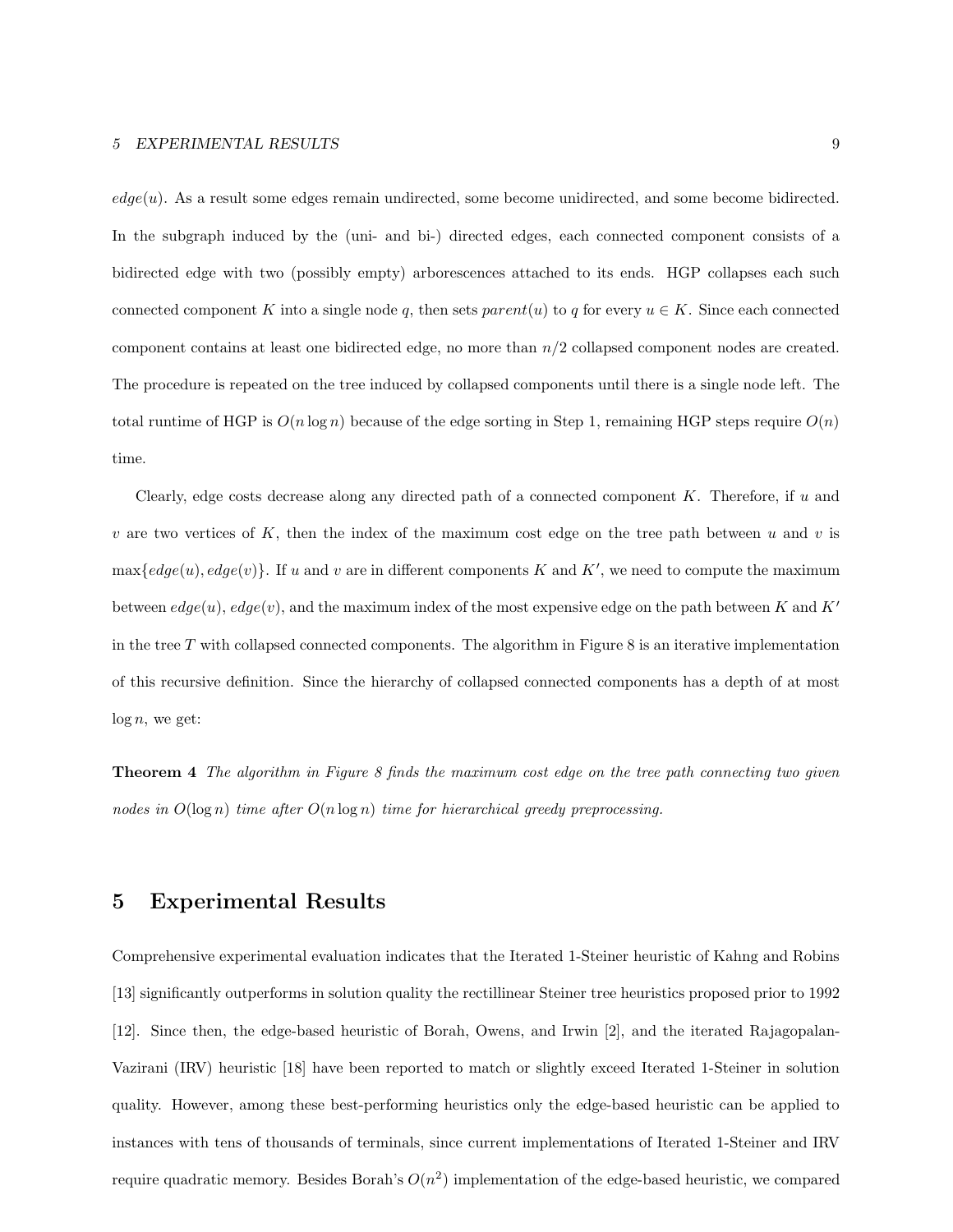$edge(u)$ . As a result some edges remain undirected, some become unidirected, and some become bidirected. In the subgraph induced by the (uni- and bi-) directed edges, each connected component consists of a bidirected edge with two (possibly empty) arborescences attached to its ends. HGP collapses each such connected component K into a single node q, then sets parent $(u)$  to q for every  $u \in K$ . Since each connected component contains at least one bidirected edge, no more than n/2 collapsed component nodes are created. The procedure is repeated on the tree induced by collapsed components until there is a single node left. The total runtime of HGP is  $O(n \log n)$  because of the edge sorting in Step 1, remaining HGP steps require  $O(n)$ time.

Clearly, edge costs decrease along any directed path of a connected component  $K$ . Therefore, if  $u$  and v are two vertices of K, then the index of the maximum cost edge on the tree path between u and v is  $\max\{edge(u), edge(v)\}.$  If u and v are in different components K and K', we need to compute the maximum between  $edge(u)$ ,  $edge(v)$ , and the maximum index of the most expensive edge on the path between K and K' in the tree T with collapsed connected components. The algorithm in Figure 8 is an iterative implementation of this recursive definition. Since the hierarchy of collapsed connected components has a depth of at most  $log n$ , we get:

Theorem 4 The algorithm in Figure 8 finds the maximum cost edge on the tree path connecting two given nodes in  $O(\log n)$  time after  $O(n \log n)$  time for hierarchical greedy preprocessing.

# 5 Experimental Results

Comprehensive experimental evaluation indicates that the Iterated 1-Steiner heuristic of Kahng and Robins [13] significantly outperforms in solution quality the rectillinear Steiner tree heuristics proposed prior to 1992 [12]. Since then, the edge-based heuristic of Borah, Owens, and Irwin [2], and the iterated Rajagopalan-Vazirani (IRV) heuristic [18] have been reported to match or slightly exceed Iterated 1-Steiner in solution quality. However, among these best-performing heuristics only the edge-based heuristic can be applied to instances with tens of thousands of terminals, since current implementations of Iterated 1-Steiner and IRV require quadratic memory. Besides Borah's  $O(n^2)$  implementation of the edge-based heuristic, we compared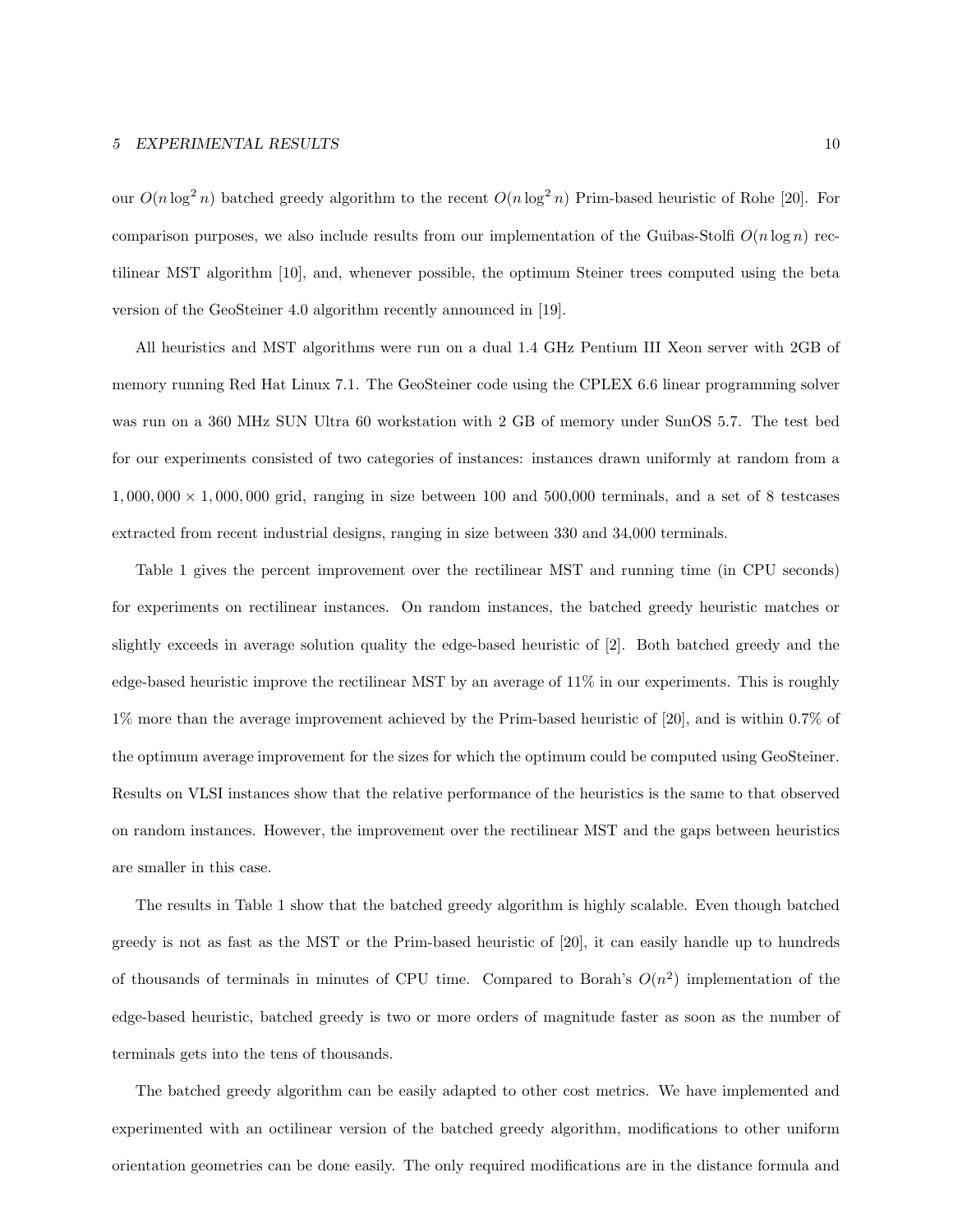#### 5 EXPERIMENTAL RESULTS 10

our  $O(n \log^2 n)$  batched greedy algorithm to the recent  $O(n \log^2 n)$  Prim-based heuristic of Rohe [20]. For comparison purposes, we also include results from our implementation of the Guibas-Stolfi  $O(n \log n)$  rectilinear MST algorithm [10], and, whenever possible, the optimum Steiner trees computed using the beta version of the GeoSteiner 4.0 algorithm recently announced in [19].

All heuristics and MST algorithms were run on a dual 1.4 GHz Pentium III Xeon server with 2GB of memory running Red Hat Linux 7.1. The GeoSteiner code using the CPLEX 6.6 linear programming solver was run on a 360 MHz SUN Ultra 60 workstation with 2 GB of memory under SunOS 5.7. The test bed for our experiments consisted of two categories of instances: instances drawn uniformly at random from a  $1,000,000 \times 1,000,000$  grid, ranging in size between 100 and 500,000 terminals, and a set of 8 testcases extracted from recent industrial designs, ranging in size between 330 and 34,000 terminals.

Table 1 gives the percent improvement over the rectilinear MST and running time (in CPU seconds) for experiments on rectilinear instances. On random instances, the batched greedy heuristic matches or slightly exceeds in average solution quality the edge-based heuristic of [2]. Both batched greedy and the edge-based heuristic improve the rectilinear MST by an average of 11% in our experiments. This is roughly 1% more than the average improvement achieved by the Prim-based heuristic of [20], and is within 0.7% of the optimum average improvement for the sizes for which the optimum could be computed using GeoSteiner. Results on VLSI instances show that the relative performance of the heuristics is the same to that observed on random instances. However, the improvement over the rectilinear MST and the gaps between heuristics are smaller in this case.

The results in Table 1 show that the batched greedy algorithm is highly scalable. Even though batched greedy is not as fast as the MST or the Prim-based heuristic of [20], it can easily handle up to hundreds of thousands of terminals in minutes of CPU time. Compared to Borah's  $O(n^2)$  implementation of the edge-based heuristic, batched greedy is two or more orders of magnitude faster as soon as the number of terminals gets into the tens of thousands.

The batched greedy algorithm can be easily adapted to other cost metrics. We have implemented and experimented with an octilinear version of the batched greedy algorithm, modifications to other uniform orientation geometries can be done easily. The only required modifications are in the distance formula and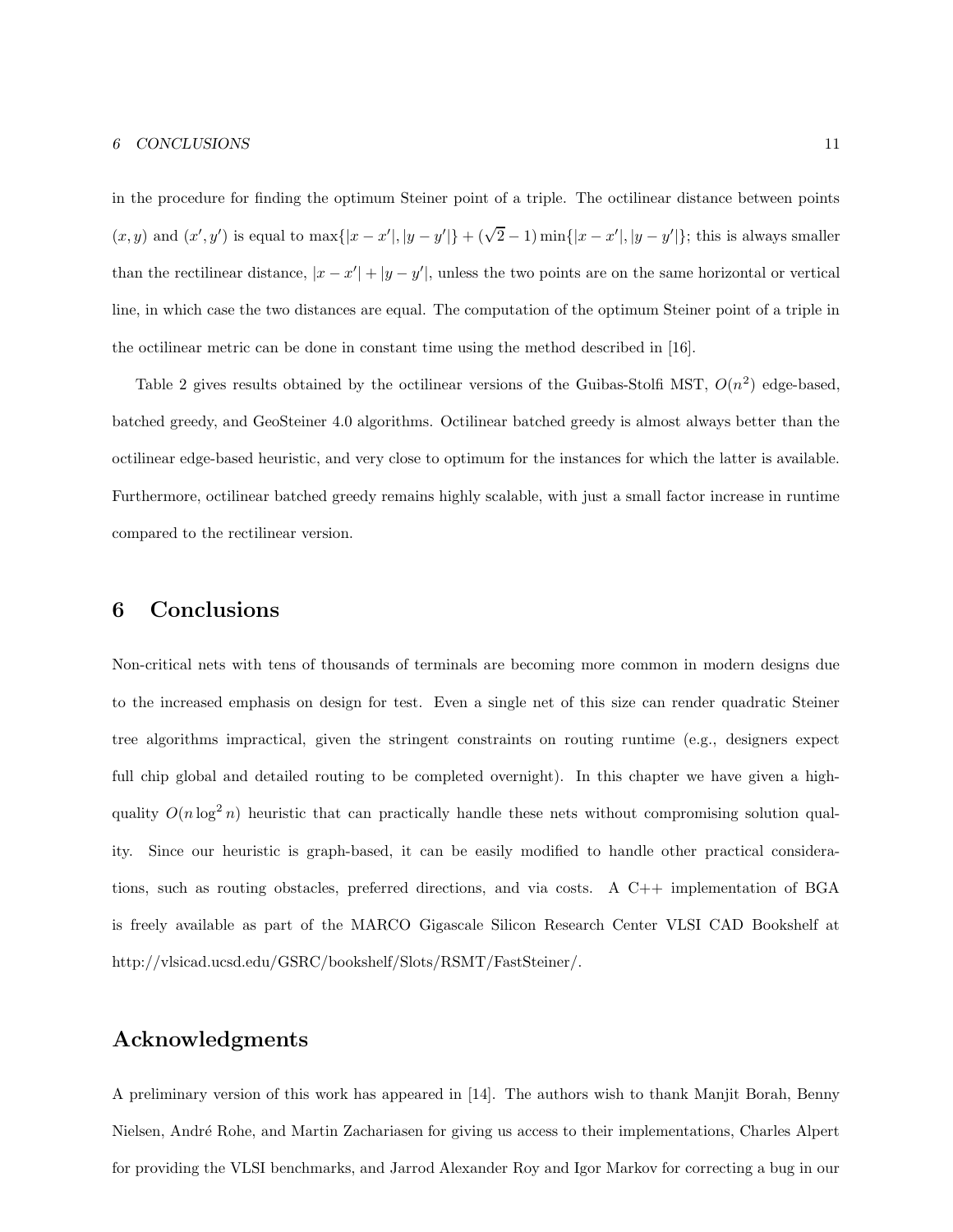in the procedure for finding the optimum Steiner point of a triple. The octilinear distance between points  $(x, y)$  and  $(x', y')$  is equal to  $\max\{|x - x'|, |y - y'|\} + (\sqrt{2} - 1) \min\{|x - x'|, |y - y'|\}$ ; this is always smaller than the rectilinear distance,  $|x - x'| + |y - y'|$ , unless the two points are on the same horizontal or vertical line, in which case the two distances are equal. The computation of the optimum Steiner point of a triple in the octilinear metric can be done in constant time using the method described in [16].

Table 2 gives results obtained by the octilinear versions of the Guibas-Stolfi MST,  $O(n^2)$  edge-based, batched greedy, and GeoSteiner 4.0 algorithms. Octilinear batched greedy is almost always better than the octilinear edge-based heuristic, and very close to optimum for the instances for which the latter is available. Furthermore, octilinear batched greedy remains highly scalable, with just a small factor increase in runtime compared to the rectilinear version.

# 6 Conclusions

Non-critical nets with tens of thousands of terminals are becoming more common in modern designs due to the increased emphasis on design for test. Even a single net of this size can render quadratic Steiner tree algorithms impractical, given the stringent constraints on routing runtime (e.g., designers expect full chip global and detailed routing to be completed overnight). In this chapter we have given a highquality  $O(n \log^2 n)$  heuristic that can practically handle these nets without compromising solution quality. Since our heuristic is graph-based, it can be easily modified to handle other practical considerations, such as routing obstacles, preferred directions, and via costs. A C++ implementation of BGA is freely available as part of the MARCO Gigascale Silicon Research Center VLSI CAD Bookshelf at http://vlsicad.ucsd.edu/GSRC/bookshelf/Slots/RSMT/FastSteiner/.

## Acknowledgments

A preliminary version of this work has appeared in [14]. The authors wish to thank Manjit Borah, Benny Nielsen, Andr´e Rohe, and Martin Zachariasen for giving us access to their implementations, Charles Alpert for providing the VLSI benchmarks, and Jarrod Alexander Roy and Igor Markov for correcting a bug in our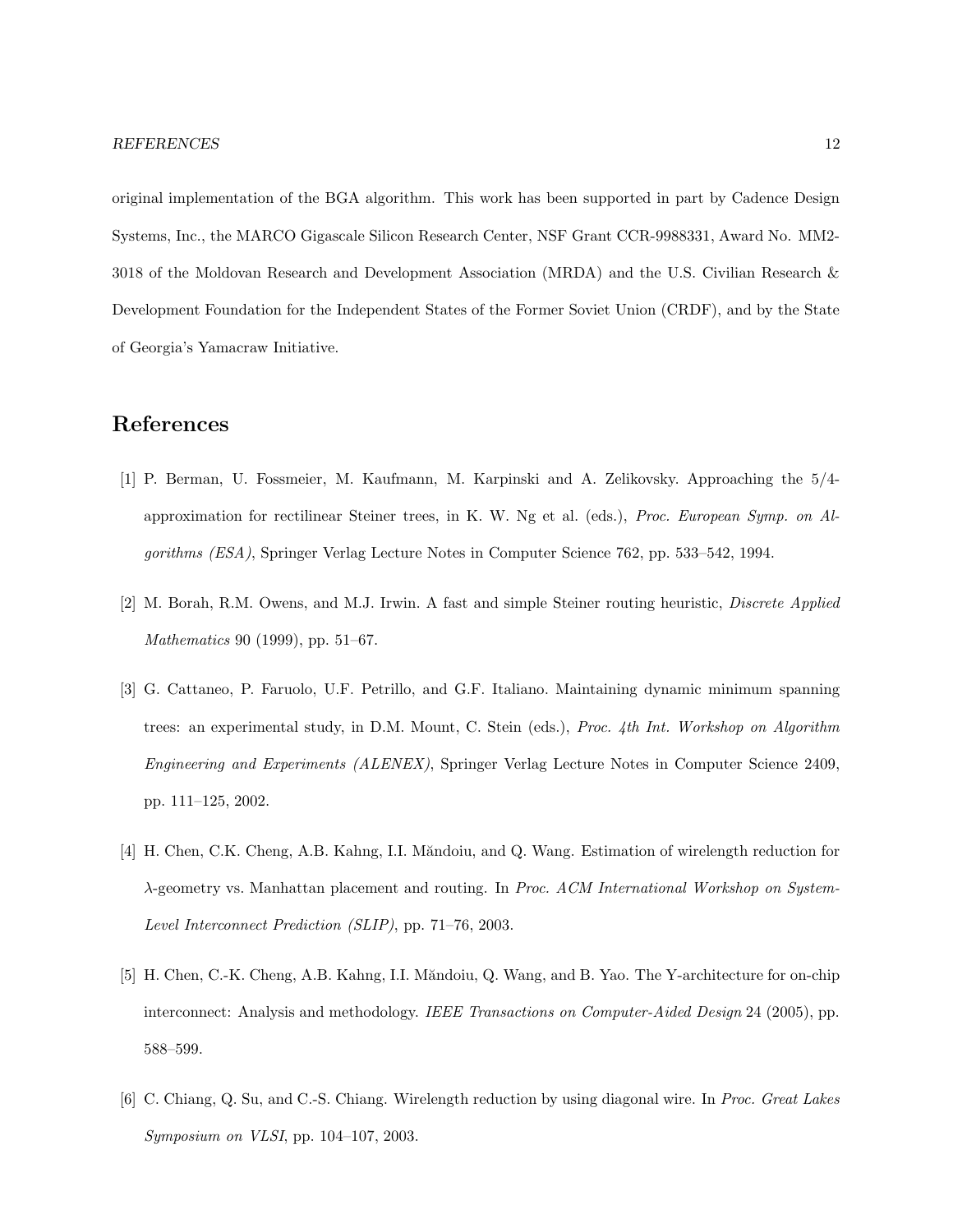original implementation of the BGA algorithm. This work has been supported in part by Cadence Design Systems, Inc., the MARCO Gigascale Silicon Research Center, NSF Grant CCR-9988331, Award No. MM2- 3018 of the Moldovan Research and Development Association (MRDA) and the U.S. Civilian Research & Development Foundation for the Independent States of the Former Soviet Union (CRDF), and by the State of Georgia's Yamacraw Initiative.

### References

- [1] P. Berman, U. Fossmeier, M. Kaufmann, M. Karpinski and A. Zelikovsky. Approaching the 5/4 approximation for rectilinear Steiner trees, in K. W. Ng et al. (eds.), Proc. European Symp. on Algorithms (ESA), Springer Verlag Lecture Notes in Computer Science 762, pp. 533–542, 1994.
- [2] M. Borah, R.M. Owens, and M.J. Irwin. A fast and simple Steiner routing heuristic, Discrete Applied Mathematics 90 (1999), pp. 51–67.
- [3] G. Cattaneo, P. Faruolo, U.F. Petrillo, and G.F. Italiano. Maintaining dynamic minimum spanning trees: an experimental study, in D.M. Mount, C. Stein (eds.), Proc. 4th Int. Workshop on Algorithm Engineering and Experiments (ALENEX), Springer Verlag Lecture Notes in Computer Science 2409, pp. 111–125, 2002.
- [4] H. Chen, C.K. Cheng, A.B. Kahng, I.I. Măndoiu, and Q. Wang. Estimation of wirelength reduction for λ-geometry vs. Manhattan placement and routing. In Proc. ACM International Workshop on System-Level Interconnect Prediction (SLIP), pp. 71–76, 2003.
- [5] H. Chen, C.-K. Cheng, A.B. Kahng, I.I. Măndoiu, Q. Wang, and B. Yao. The Y-architecture for on-chip interconnect: Analysis and methodology. IEEE Transactions on Computer-Aided Design 24 (2005), pp. 588–599.
- [6] C. Chiang, Q. Su, and C.-S. Chiang. Wirelength reduction by using diagonal wire. In Proc. Great Lakes Symposium on VLSI, pp. 104–107, 2003.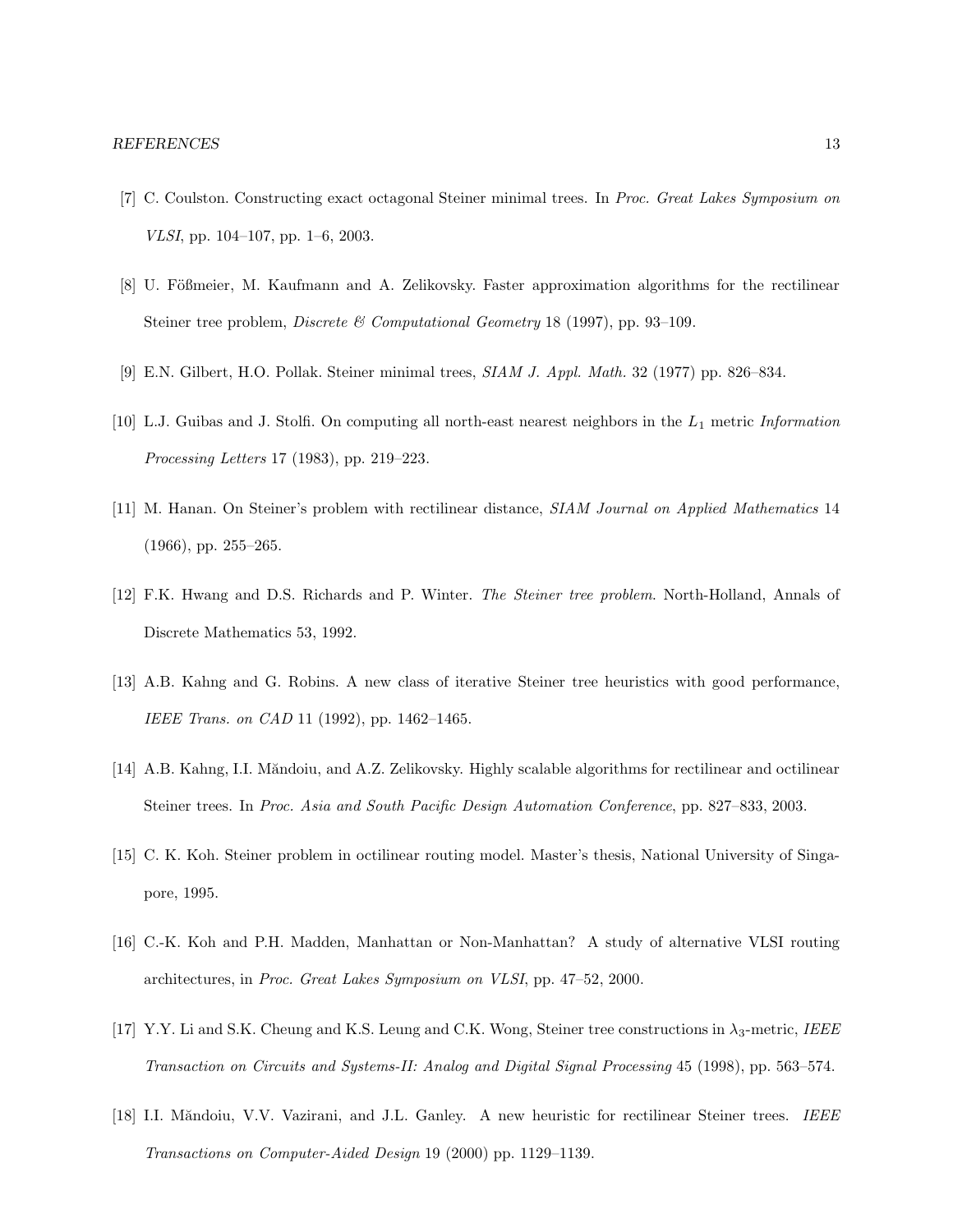- [7] C. Coulston. Constructing exact octagonal Steiner minimal trees. In Proc. Great Lakes Symposium on VLSI, pp. 104–107, pp. 1–6, 2003.
- [8] U. Fößmeier, M. Kaufmann and A. Zelikovsky. Faster approximation algorithms for the rectilinear Steiner tree problem, Discrete & Computational Geometry 18 (1997), pp. 93–109.
- [9] E.N. Gilbert, H.O. Pollak. Steiner minimal trees, SIAM J. Appl. Math. 32 (1977) pp. 826–834.
- [10] L.J. Guibas and J. Stolfi. On computing all north-east nearest neighbors in the L1 metric Information Processing Letters 17 (1983), pp. 219–223.
- [11] M. Hanan. On Steiner's problem with rectilinear distance, SIAM Journal on Applied Mathematics 14 (1966), pp. 255–265.
- [12] F.K. Hwang and D.S. Richards and P. Winter. The Steiner tree problem. North-Holland, Annals of Discrete Mathematics 53, 1992.
- [13] A.B. Kahng and G. Robins. A new class of iterative Steiner tree heuristics with good performance, IEEE Trans. on CAD 11 (1992), pp. 1462–1465.
- [14] A.B. Kahng, I.I. Măndoiu, and A.Z. Zelikovsky. Highly scalable algorithms for rectilinear and octilinear Steiner trees. In Proc. Asia and South Pacific Design Automation Conference, pp. 827–833, 2003.
- [15] C. K. Koh. Steiner problem in octilinear routing model. Master's thesis, National University of Singapore, 1995.
- [16] C.-K. Koh and P.H. Madden, Manhattan or Non-Manhattan? A study of alternative VLSI routing architectures, in Proc. Great Lakes Symposium on VLSI, pp. 47–52, 2000.
- [17] Y.Y. Li and S.K. Cheung and K.S. Leung and C.K. Wong, Steiner tree constructions in  $\lambda_3$ -metric, IEEE Transaction on Circuits and Systems-II: Analog and Digital Signal Processing 45 (1998), pp. 563–574.
- [18] I.I. Măndoiu, V.V. Vazirani, and J.L. Ganley. A new heuristic for rectilinear Steiner trees. IEEE Transactions on Computer-Aided Design 19 (2000) pp. 1129–1139.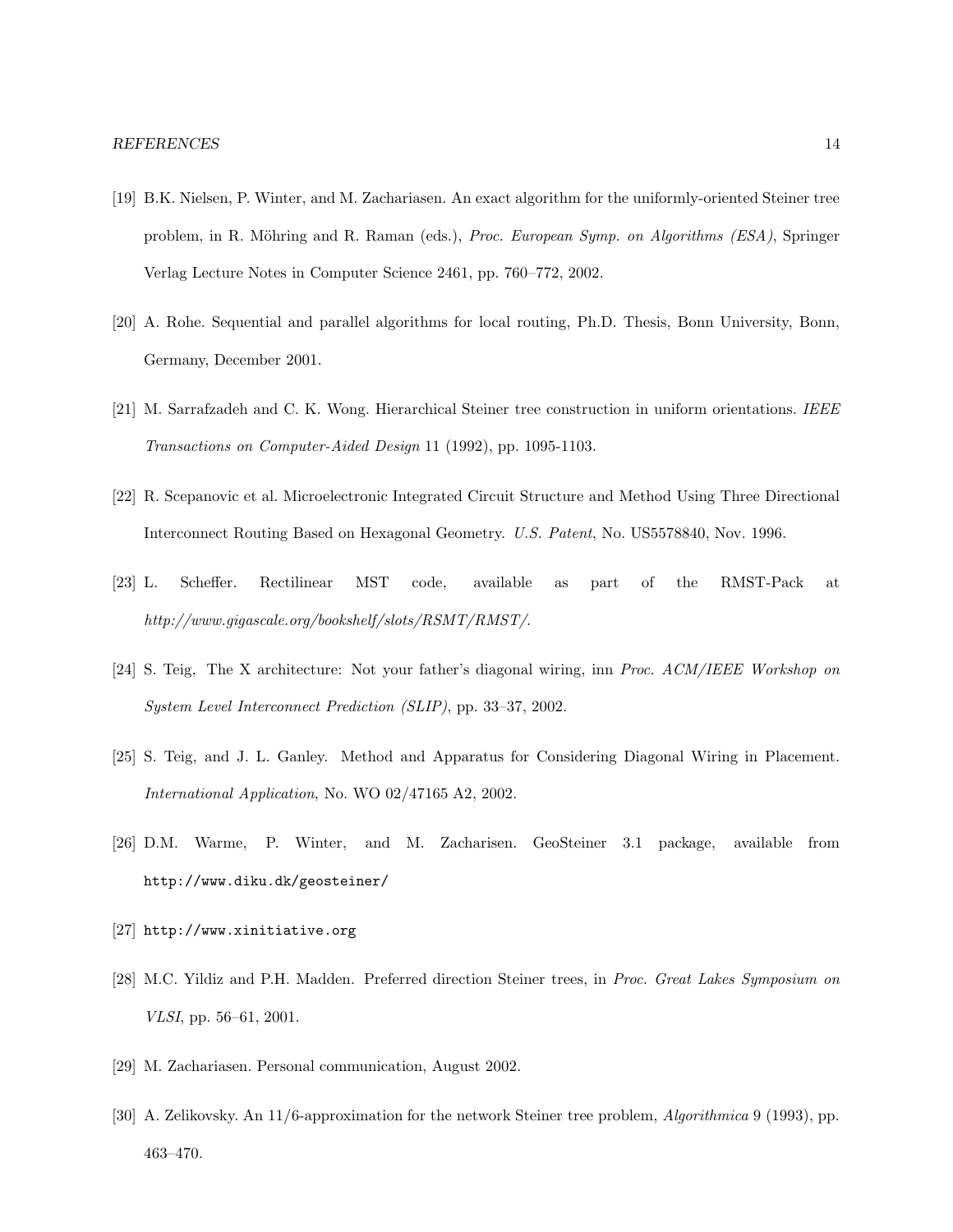- [19] B.K. Nielsen, P. Winter, and M. Zachariasen. An exact algorithm for the uniformly-oriented Steiner tree problem, in R. Möhring and R. Raman (eds.), Proc. European Symp. on Algorithms (ESA), Springer Verlag Lecture Notes in Computer Science 2461, pp. 760–772, 2002.
- [20] A. Rohe. Sequential and parallel algorithms for local routing, Ph.D. Thesis, Bonn University, Bonn, Germany, December 2001.
- [21] M. Sarrafzadeh and C. K. Wong. Hierarchical Steiner tree construction in uniform orientations. IEEE Transactions on Computer-Aided Design 11 (1992), pp. 1095-1103.
- [22] R. Scepanovic et al. Microelectronic Integrated Circuit Structure and Method Using Three Directional Interconnect Routing Based on Hexagonal Geometry. U.S. Patent, No. US5578840, Nov. 1996.
- [23] L. Scheffer. Rectilinear MST code, available as part of the RMST-Pack at http://www.gigascale.org/bookshelf/slots/RSMT/RMST/.
- [24] S. Teig, The X architecture: Not your father's diagonal wiring, inn Proc. ACM/IEEE Workshop on System Level Interconnect Prediction (SLIP), pp. 33–37, 2002.
- [25] S. Teig, and J. L. Ganley. Method and Apparatus for Considering Diagonal Wiring in Placement. International Application, No. WO 02/47165 A2, 2002.
- [26] D.M. Warme, P. Winter, and M. Zacharisen. GeoSteiner 3.1 package, available from http://www.diku.dk/geosteiner/
- [27] http://www.xinitiative.org
- [28] M.C. Yildiz and P.H. Madden. Preferred direction Steiner trees, in Proc. Great Lakes Symposium on VLSI, pp. 56–61, 2001.
- [29] M. Zachariasen. Personal communication, August 2002.
- [30] A. Zelikovsky. An 11/6-approximation for the network Steiner tree problem, Algorithmica 9 (1993), pp. 463–470.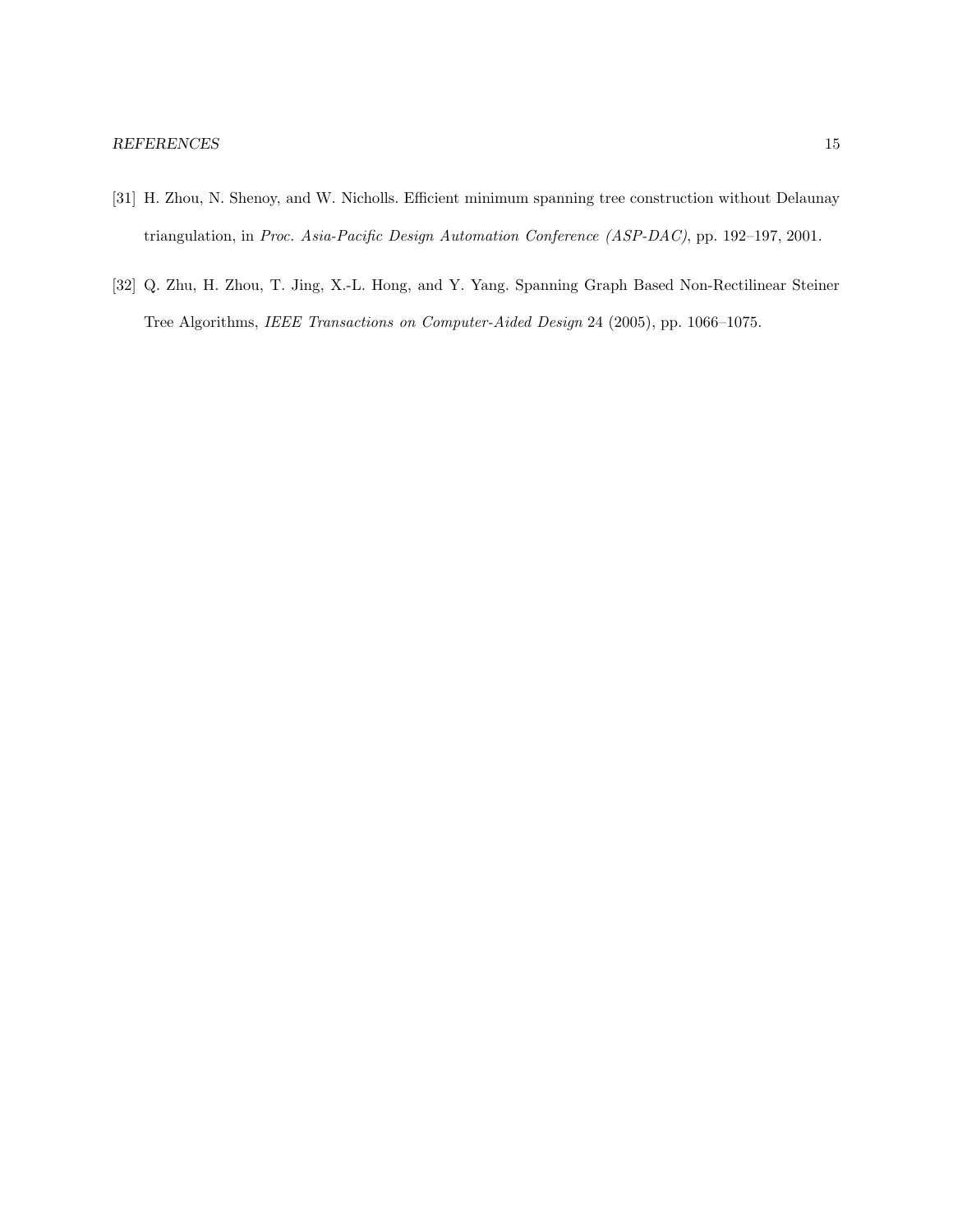- [31] H. Zhou, N. Shenoy, and W. Nicholls. Efficient minimum spanning tree construction without Delaunay triangulation, in Proc. Asia-Pacific Design Automation Conference (ASP-DAC), pp. 192–197, 2001.
- [32] Q. Zhu, H. Zhou, T. Jing, X.-L. Hong, and Y. Yang. Spanning Graph Based Non-Rectilinear Steiner Tree Algorithms, IEEE Transactions on Computer-Aided Design 24 (2005), pp. 1066–1075.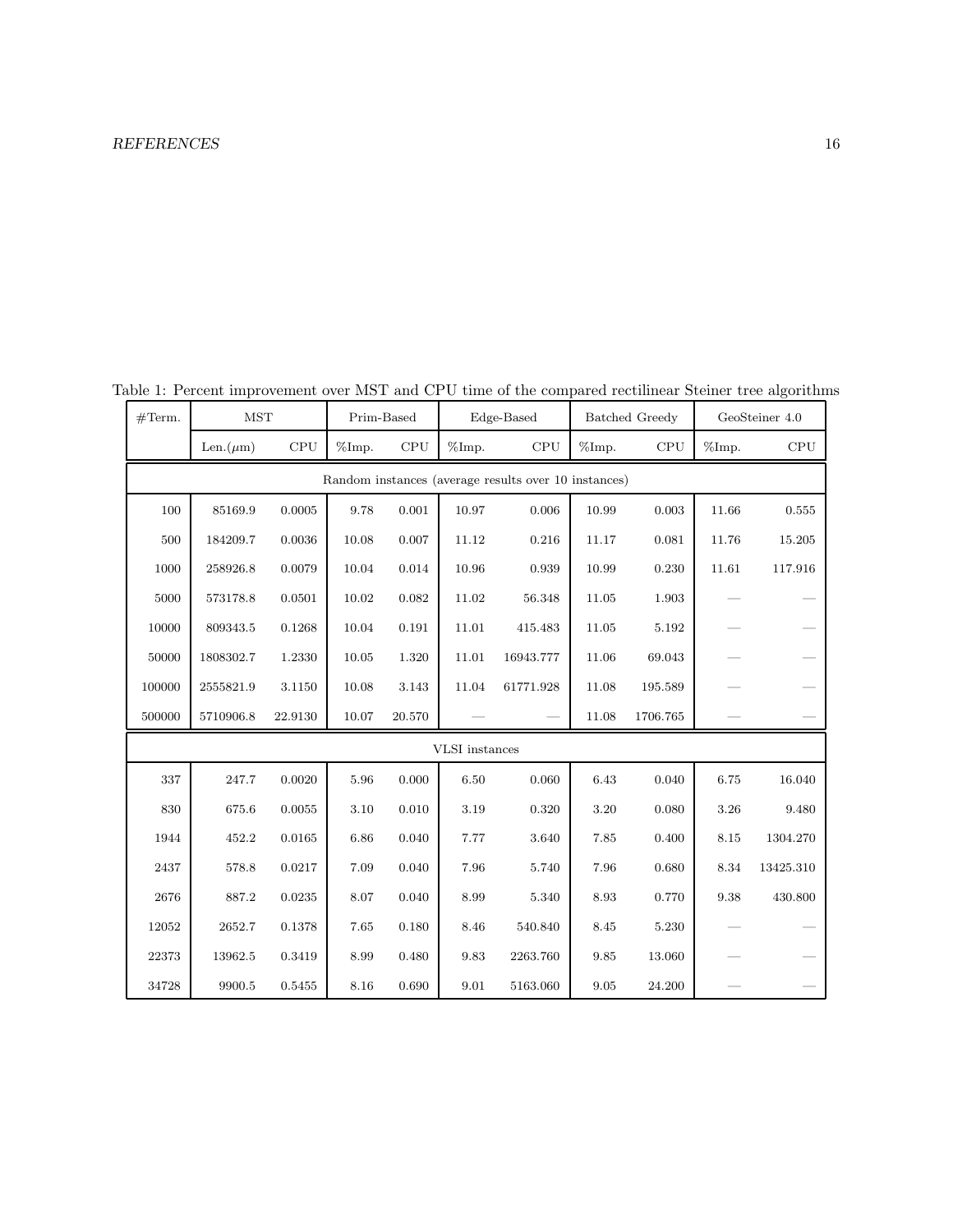| #Term.                                               | <b>MST</b>     |         | Prim-Based        |        | Edge-Based |           | Batched Greedy |          | GeoSteiner 4.0 |           |  |  |
|------------------------------------------------------|----------------|---------|-------------------|--------|------------|-----------|----------------|----------|----------------|-----------|--|--|
|                                                      | Len. $(\mu m)$ | CPU     | $\%\mathrm{Imp}.$ | CPU    | %Imp.      | CPU       | %Imp.          | CPU      | %Imp.          | CPU       |  |  |
| Random instances (average results over 10 instances) |                |         |                   |        |            |           |                |          |                |           |  |  |
| 100                                                  | 85169.9        | 0.0005  | 9.78              | 0.001  | 10.97      | 0.006     | 10.99          | 0.003    | 11.66          | 0.555     |  |  |
| 500                                                  | 184209.7       | 0.0036  | 10.08             | 0.007  | 11.12      | 0.216     | 11.17          | 0.081    | 11.76          | 15.205    |  |  |
| 1000                                                 | 258926.8       | 0.0079  | 10.04             | 0.014  | 10.96      | 0.939     | 10.99          | 0.230    | 11.61          | 117.916   |  |  |
| 5000                                                 | 573178.8       | 0.0501  | 10.02             | 0.082  | 11.02      | 56.348    | 11.05          | 1.903    |                |           |  |  |
| 10000                                                | 809343.5       | 0.1268  | 10.04             | 0.191  | 11.01      | 415.483   | 11.05          | 5.192    |                |           |  |  |
| 50000                                                | 1808302.7      | 1.2330  | 10.05             | 1.320  | 11.01      | 16943.777 | 11.06          | 69.043   |                |           |  |  |
| 100000                                               | 2555821.9      | 3.1150  | 10.08             | 3.143  | 11.04      | 61771.928 | 11.08          | 195.589  |                |           |  |  |
| 500000                                               | 5710906.8      | 22.9130 | 10.07             | 20.570 |            |           | 11.08          | 1706.765 |                |           |  |  |
| VLSI instances                                       |                |         |                   |        |            |           |                |          |                |           |  |  |
| 337                                                  | 247.7          | 0.0020  | 5.96              | 0.000  | 6.50       | 0.060     | 6.43           | 0.040    | 6.75           | 16.040    |  |  |
| 830                                                  | 675.6          | 0.0055  | 3.10              | 0.010  | 3.19       | 0.320     | 3.20           | 0.080    | 3.26           | 9.480     |  |  |
| 1944                                                 | 452.2          | 0.0165  | 6.86              | 0.040  | 7.77       | 3.640     | 7.85           | 0.400    | 8.15           | 1304.270  |  |  |
| 2437                                                 | 578.8          | 0.0217  | 7.09              | 0.040  | 7.96       | 5.740     | 7.96           | 0.680    | 8.34           | 13425.310 |  |  |
| 2676                                                 | 887.2          | 0.0235  | 8.07              | 0.040  | 8.99       | 5.340     | 8.93           | 0.770    | 9.38           | 430.800   |  |  |
| 12052                                                | 2652.7         | 0.1378  | 7.65              | 0.180  | 8.46       | 540.840   | 8.45           | 5.230    |                |           |  |  |
| 22373                                                | 13962.5        | 0.3419  | 8.99              | 0.480  | 9.83       | 2263.760  | 9.85           | 13.060   |                |           |  |  |
| 34728                                                | 9900.5         | 0.5455  | 8.16              | 0.690  | 9.01       | 5163.060  | 9.05           | 24.200   |                |           |  |  |

Table 1: Percent improvement over MST and CPU time of the compared rectilinear Steiner tree algorithms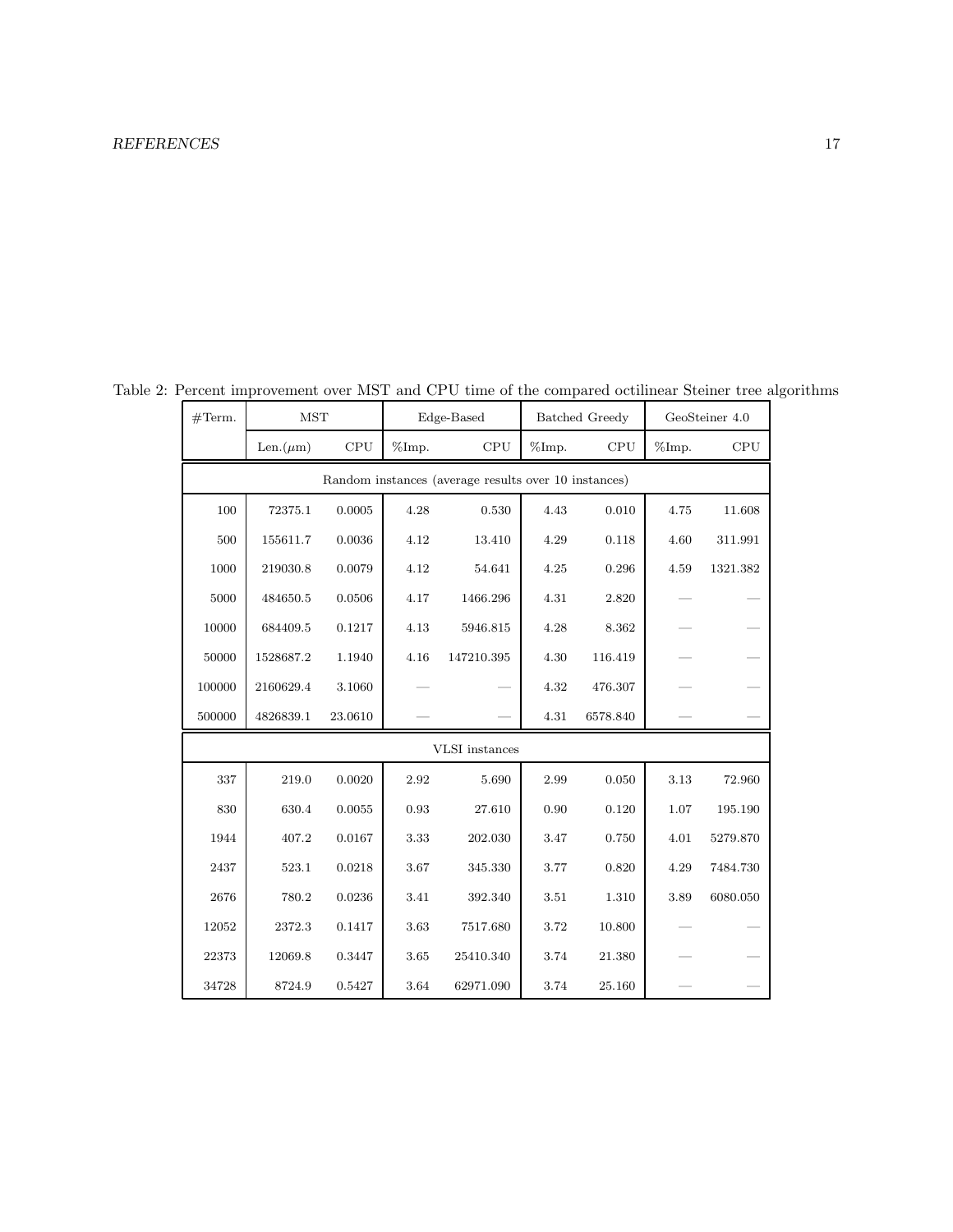| #Term.                                               | <b>MST</b>     |            |       | Edge-Based |       | <b>Batched Greedy</b> | GeoSteiner 4.0 |          |  |  |  |  |
|------------------------------------------------------|----------------|------------|-------|------------|-------|-----------------------|----------------|----------|--|--|--|--|
|                                                      | Len. $(\mu m)$ | <b>CPU</b> | %Imp. | CPU        | %Imp. | CPU                   | %Imp.          | CPU      |  |  |  |  |
| Random instances (average results over 10 instances) |                |            |       |            |       |                       |                |          |  |  |  |  |
| 100                                                  | 72375.1        | 0.0005     | 4.28  | 0.530      | 4.43  | 0.010                 | 4.75           | 11.608   |  |  |  |  |
| 500                                                  | 155611.7       | 0.0036     | 4.12  | 13.410     | 4.29  | 0.118                 | 4.60           | 311.991  |  |  |  |  |
| 1000                                                 | 219030.8       | 0.0079     | 4.12  | 54.641     | 4.25  | 0.296                 | 4.59           | 1321.382 |  |  |  |  |
| 5000                                                 | 484650.5       | 0.0506     | 4.17  | 1466.296   | 4.31  | 2.820                 |                |          |  |  |  |  |
| 10000                                                | 684409.5       | 0.1217     | 4.13  | 5946.815   | 4.28  | 8.362                 |                |          |  |  |  |  |
| 50000                                                | 1528687.2      | 1.1940     | 4.16  | 147210.395 | 4.30  | 116.419               |                |          |  |  |  |  |
| 100000                                               | 2160629.4      | 3.1060     |       |            | 4.32  | 476.307               |                |          |  |  |  |  |
| 500000                                               | 4826839.1      | 23.0610    |       |            | 4.31  | 6578.840              |                |          |  |  |  |  |
| <b>VLSI</b> instances                                |                |            |       |            |       |                       |                |          |  |  |  |  |
| 337                                                  | 219.0          | 0.0020     | 2.92  | 5.690      | 2.99  | 0.050                 | 3.13           | 72.960   |  |  |  |  |
| 830                                                  | 630.4          | 0.0055     | 0.93  | 27.610     | 0.90  | 0.120                 | 1.07           | 195.190  |  |  |  |  |
| 1944                                                 | 407.2          | 0.0167     | 3.33  | 202.030    | 3.47  | 0.750                 | 4.01           | 5279.870 |  |  |  |  |
| 2437                                                 | 523.1          | 0.0218     | 3.67  | 345.330    | 3.77  | 0.820                 | 4.29           | 7484.730 |  |  |  |  |
| 2676                                                 | 780.2          | 0.0236     | 3.41  | 392.340    | 3.51  | 1.310                 | 3.89           | 6080.050 |  |  |  |  |
| 12052                                                | 2372.3         | 0.1417     | 3.63  | 7517.680   | 3.72  | 10.800                |                |          |  |  |  |  |
| 22373                                                | 12069.8        | 0.3447     | 3.65  | 25410.340  | 3.74  | 21.380                |                |          |  |  |  |  |
| 34728                                                | 8724.9         | 0.5427     | 3.64  | 62971.090  | 3.74  | 25.160                |                |          |  |  |  |  |

Table 2: Percent improvement over MST and CPU time of the compared octilinear Steiner tree algorithms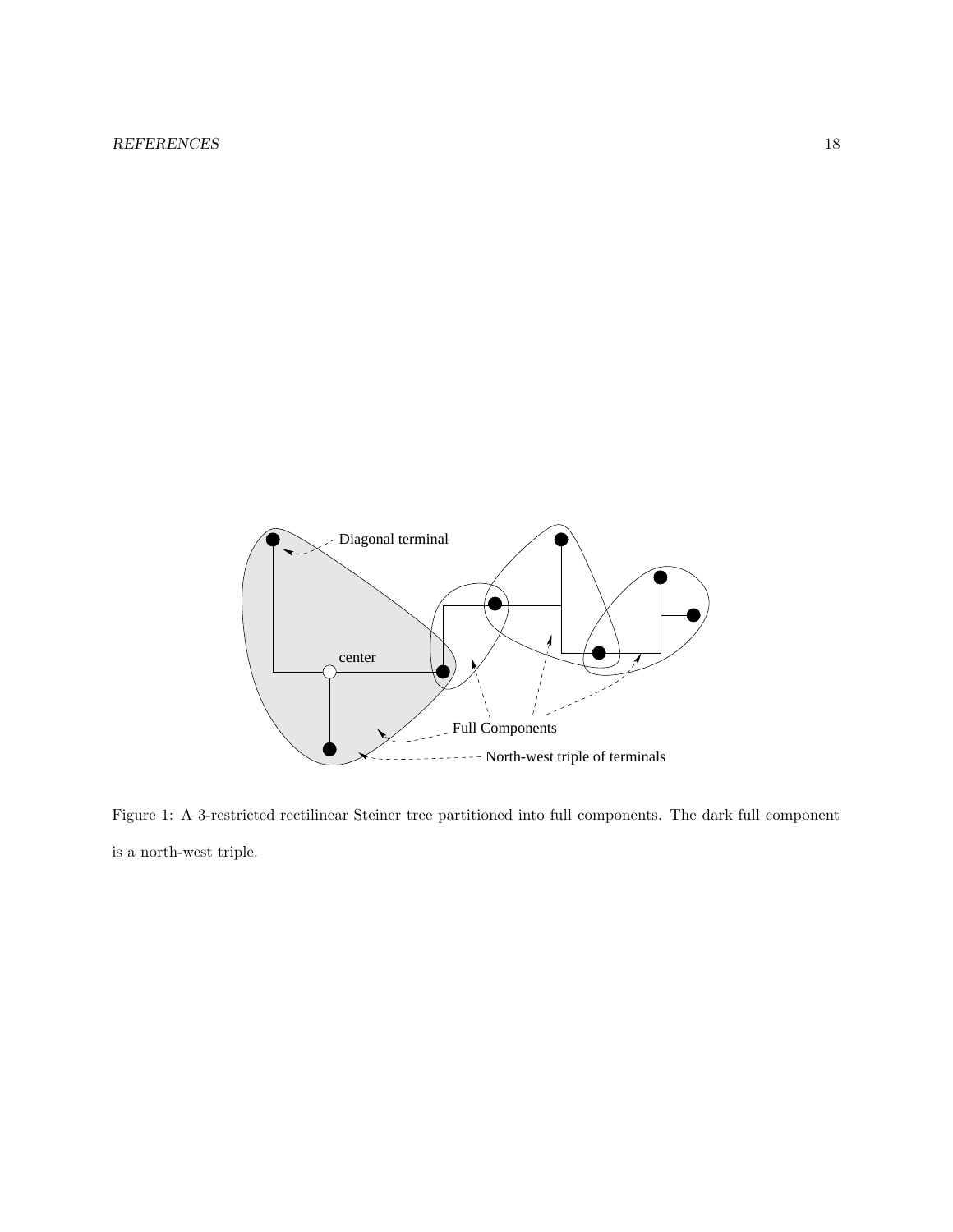

Figure 1: A 3-restricted rectilinear Steiner tree partitioned into full components. The dark full component is a north-west triple.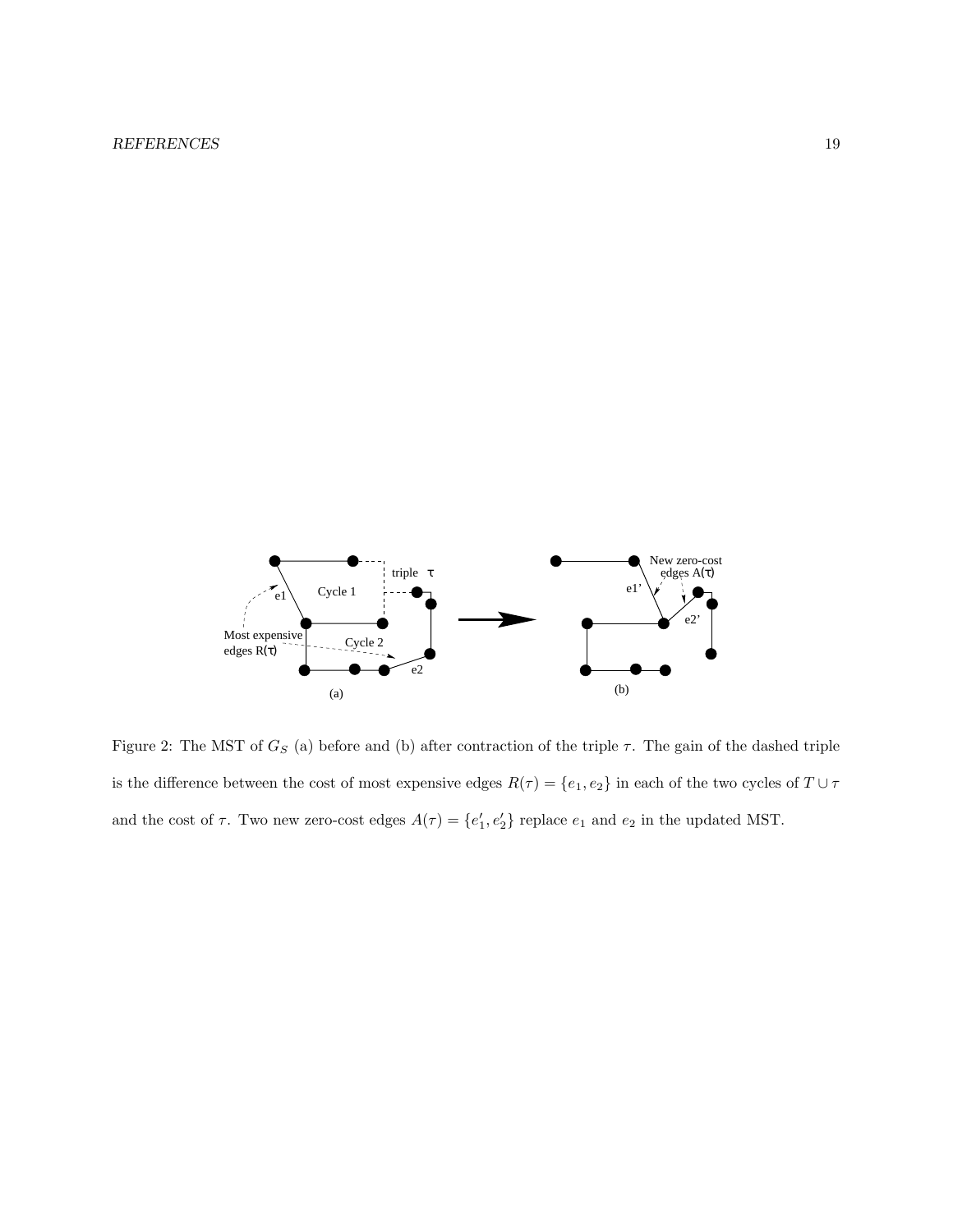

Figure 2: The MST of  $G_S$  (a) before and (b) after contraction of the triple  $\tau$ . The gain of the dashed triple is the difference between the cost of most expensive edges  $R(\tau)=\{e_1,e_2\}$  in each of the two cycles of  $T\cup\tau$ and the cost of  $\tau$ . Two new zero-cost edges  $A(\tau) = \{e'_1, e'_2\}$  replace  $e_1$  and  $e_2$  in the updated MST.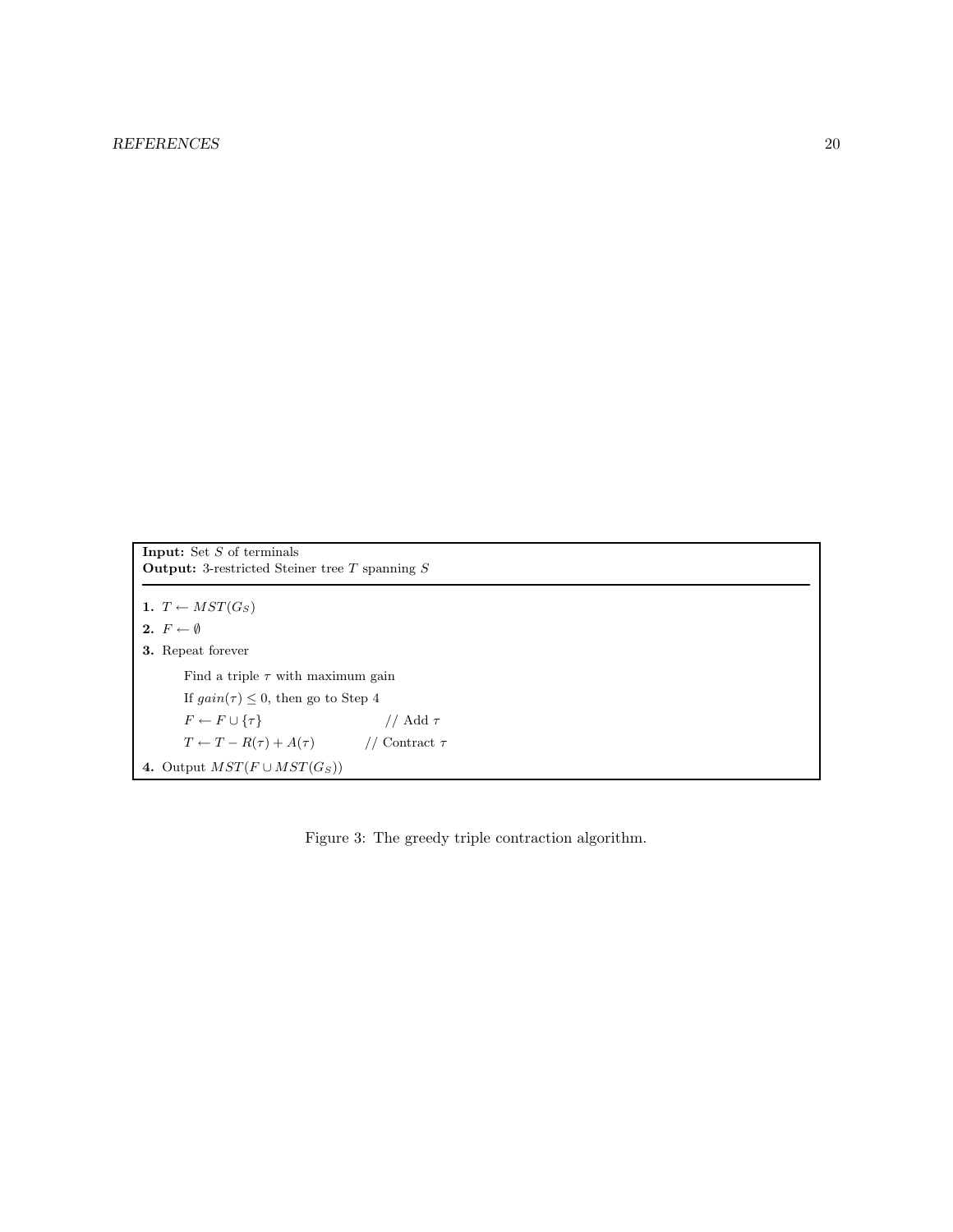```
Input: Set S of terminals
Output: 3-restricted Steiner tree T spanning S1. T \leftarrow MST(G_S)2. F \leftarrow \emptyset3. Repeat forever
       Find a triple \tau with maximum gain
       If gain(\tau) \leq 0, then go to Step 4
       F \leftarrow F \cup \{\tau\} // Add \tauT \leftarrow T - R(\tau) + A(\tau) // Contract \tau4. Output MST(F \cup MST(G_S))
```
Figure 3: The greedy triple contraction algorithm.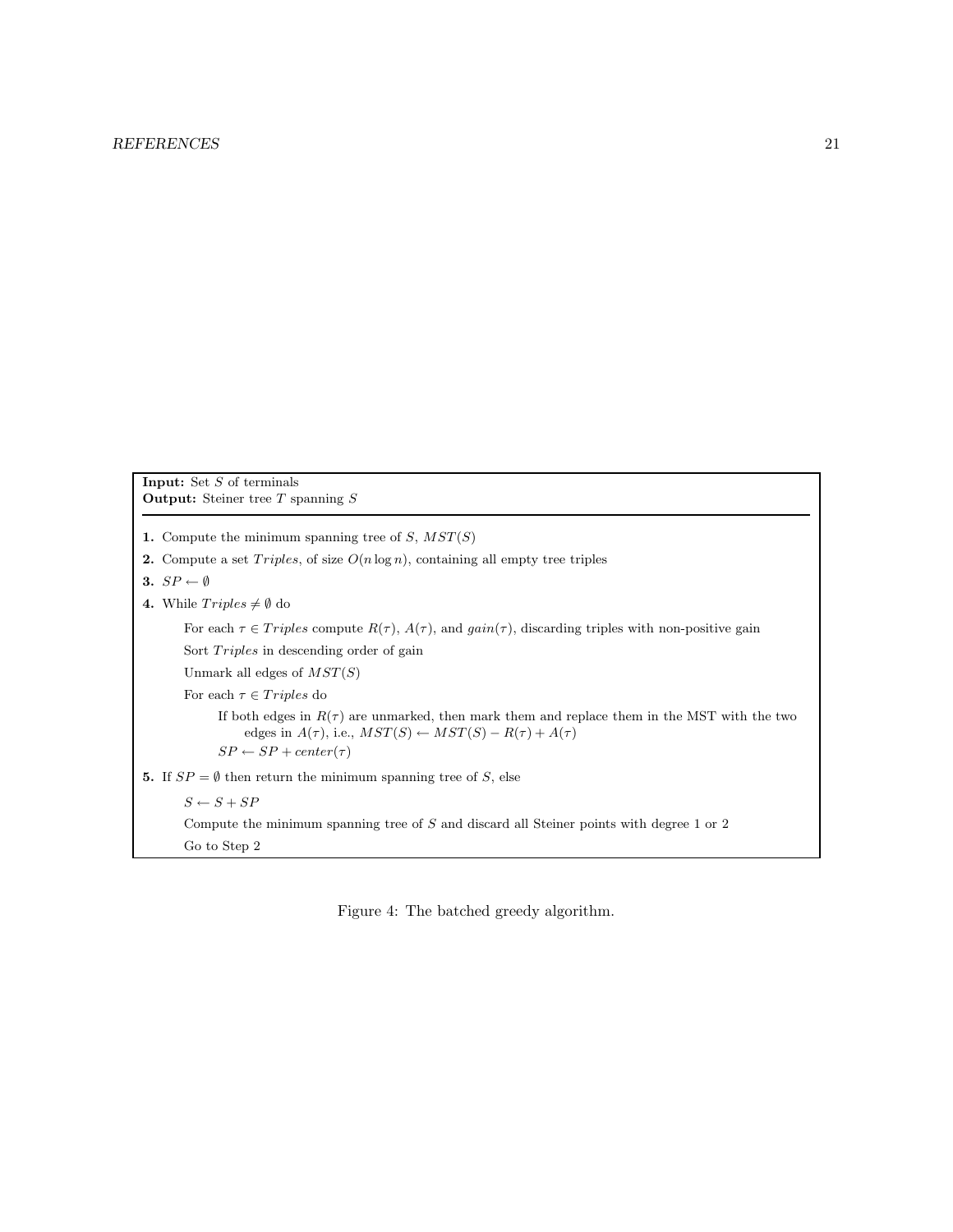#### REFERENCES 21

Input: Set S of terminals **Output:** Steiner tree  $T$  spanning  $S$ 

- 1. Compute the minimum spanning tree of  $S, MST(S)$
- 2. Compute a set  $Triples$ , of size  $O(n \log n)$ , containing all empty tree triples
- 3.  $SP \leftarrow \emptyset$
- 4. While  $Triplies \neq \emptyset$  do

For each  $\tau \in Triples$  compute  $R(\tau)$ ,  $A(\tau)$ , and  $gain(\tau)$ , discarding triples with non-positive gain Sort  $Triples$  in descending order of gain

Unmark all edges of  $MST(S)$ 

For each  $\tau \in Triples$  do

If both edges in  $R(\tau)$  are unmarked, then mark them and replace them in the MST with the two edges in  $A(\tau)$ , i.e.,  $MST(S) \leftarrow MST(S) - R(\tau) + A(\tau)$  $SP \leftarrow SP + center(\tau)$ 

5. If  $SP = \emptyset$  then return the minimum spanning tree of S, else

 $S \leftarrow S + SP$ Compute the minimum spanning tree of S and discard all Steiner points with degree 1 or 2 Go to Step 2

Figure 4: The batched greedy algorithm.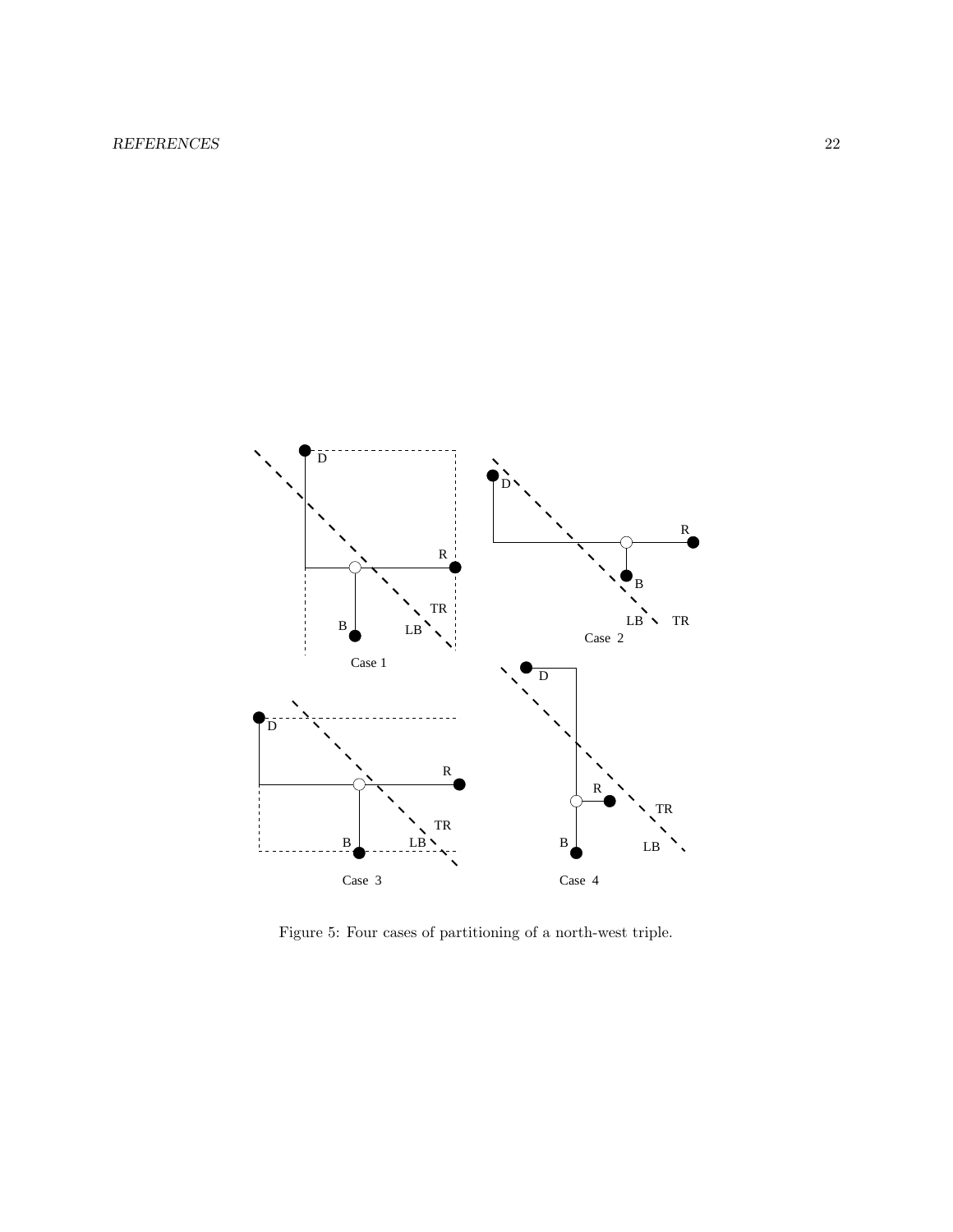

Figure 5: Four cases of partitioning of a north-west triple.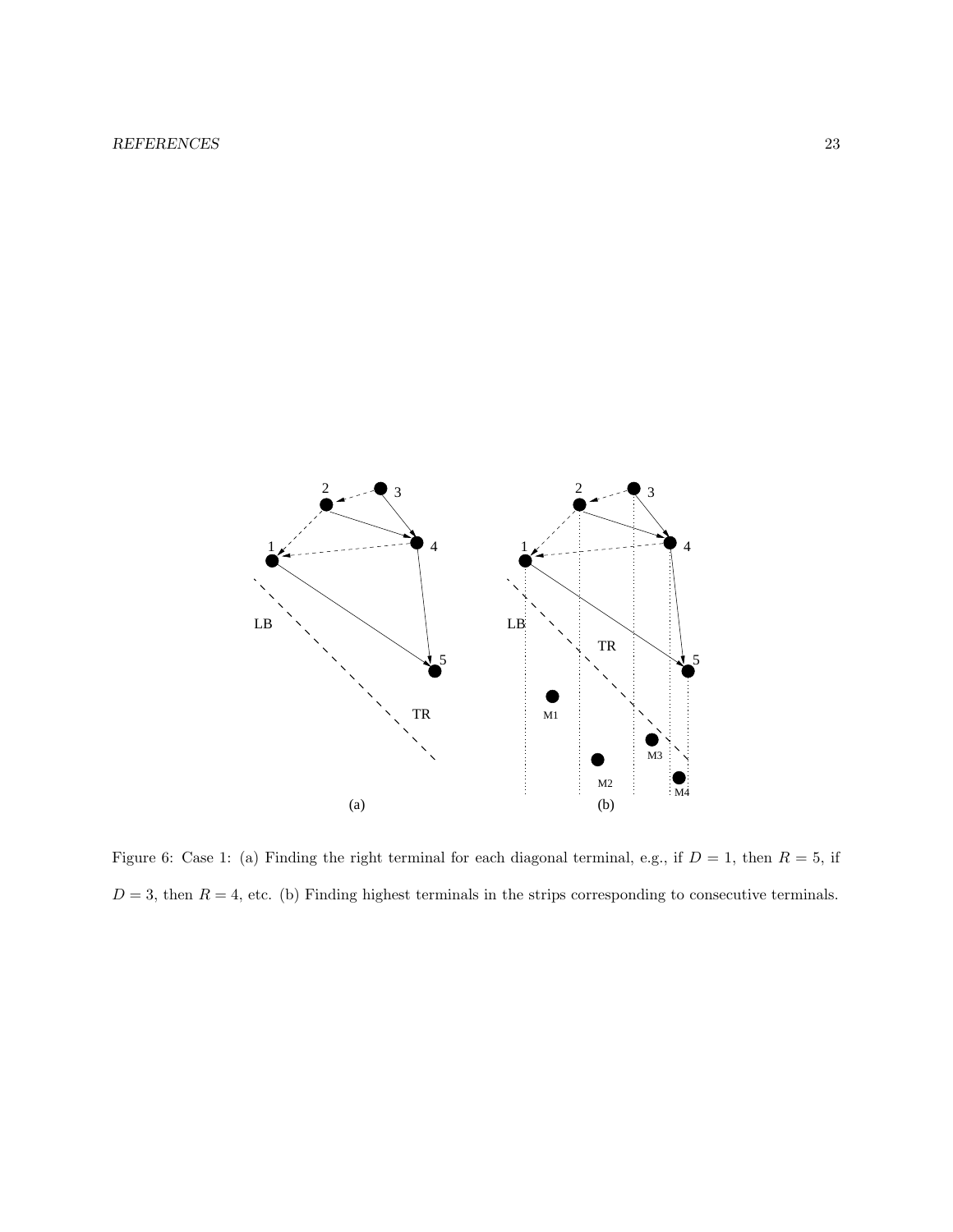

Figure 6: Case 1: (a) Finding the right terminal for each diagonal terminal, e.g., if  $D = 1$ , then  $R = 5$ , if  $D = 3$ , then  $R = 4$ , etc. (b) Finding highest terminals in the strips corresponding to consecutive terminals.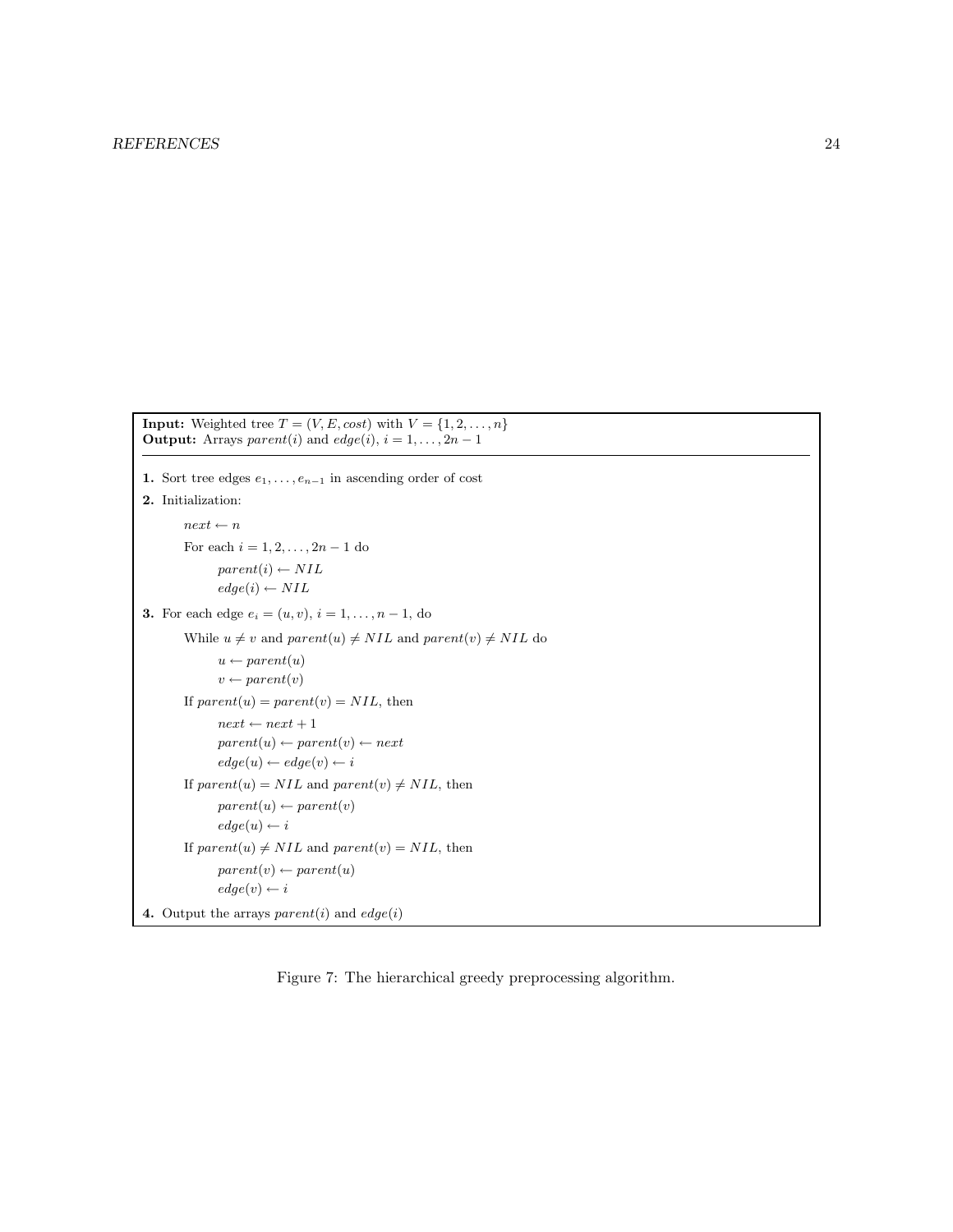```
Input: Weighted tree T = (V, E, cost) with V = \{1, 2, ..., n\}Output: Arrays parent(i) and edge(i), i = 1, ..., 2n - 11. Sort tree edges e_1, \ldots, e_{n-1} in ascending order of cost
2. Initialization:
        next \leftarrow nFor each i = 1, 2, ..., 2n - 1 do
              parent(i) \leftarrow NILedge(i) \leftarrow NIL3. For each edge e_i = (u, v), i = 1, ..., n - 1, do
        While u \neq v and parent(u) \neq NIL and parent(v) \neq NIL do
              u \leftarrow parent(u)v \leftarrow parent(v)If parent(u) = parent(v) = NIL, then
              next \leftarrow next + 1parent(u) \leftarrow parent(v) \leftarrow nextedge(u) \leftarrow edge(v) \leftarrow iIf parent(u) = NIL and parent(v) \neq NIL, then
              parent(u) \leftarrow parent(v)edge(u) \leftarrow iIf parent(u) \neq NIL and parent(v) = NIL, then
              parent(v) \leftarrow parent(u)edge(v) \leftarrow i4. Output the arrays parent(i) and edge(i)
```
Figure 7: The hierarchical greedy preprocessing algorithm.